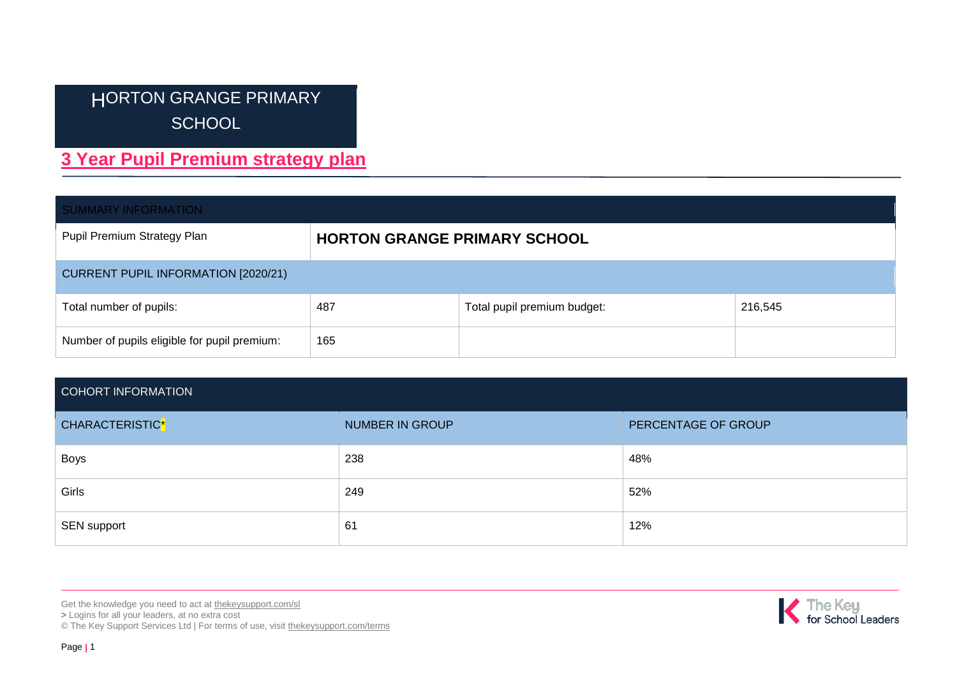# HORTON GRANGE PRIMARY **SCHOOL**

# **3 Year Pupil Premium strategy plan**

| <b>SUMMARY INFORMATION</b>                   |                                     |                             |         |  |  |  |
|----------------------------------------------|-------------------------------------|-----------------------------|---------|--|--|--|
| Pupil Premium Strategy Plan                  | <b>HORTON GRANGE PRIMARY SCHOOL</b> |                             |         |  |  |  |
| <b>CURRENT PUPIL INFORMATION [2020/21)</b>   |                                     |                             |         |  |  |  |
| Total number of pupils:                      | 487                                 | Total pupil premium budget: | 216,545 |  |  |  |
| Number of pupils eligible for pupil premium: | 165                                 |                             |         |  |  |  |

### COHORT INFORMATION

| CHARACTERISTIC* | <b>NUMBER IN GROUP</b> | PERCENTAGE OF GROUP |
|-----------------|------------------------|---------------------|
| <b>Boys</b>     | 238                    | 48%                 |
| Girls           | 249                    | 52%                 |
| SEN support     | 61                     | 12%                 |

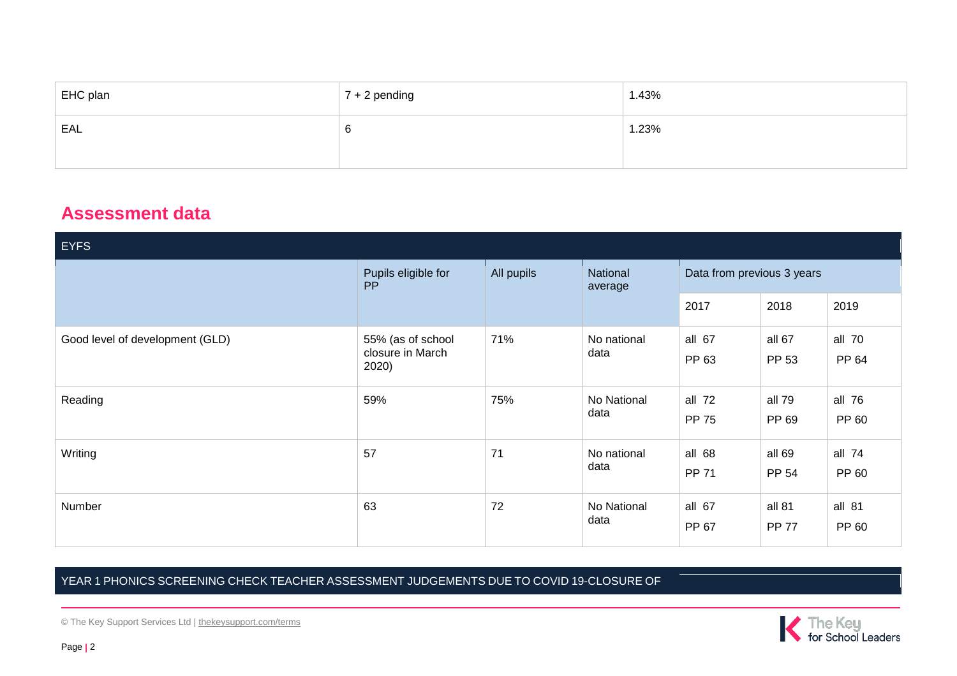| EHC plan | $7 + 2$ pending | 1.43% |
|----------|-----------------|-------|
| EAL      | 6               | 1.23% |
|          |                 |       |

## **Assessment data**

| <b>EYFS</b>                     |                                                |            |                     |                            |                        |                 |  |
|---------------------------------|------------------------------------------------|------------|---------------------|----------------------------|------------------------|-----------------|--|
|                                 | Pupils eligible for<br><b>PP</b>               | All pupils | National<br>average | Data from previous 3 years |                        |                 |  |
|                                 |                                                |            |                     | 2017                       | 2018                   | 2019            |  |
| Good level of development (GLD) | 55% (as of school<br>closure in March<br>2020) | 71%        | No national<br>data | all 67<br>PP 63            | all 67<br>PP 53        | all 70<br>PP 64 |  |
| Reading                         | 59%                                            | 75%        | No National<br>data | all $72$<br><b>PP 75</b>   | all 79<br>PP 69        | all 76<br>PP 60 |  |
| Writing                         | 57                                             | 71         | No national<br>data | all 68<br><b>PP 71</b>     | all 69<br>PP 54        | all 74<br>PP 60 |  |
| Number                          | 63                                             | 72         | No National<br>data | all 67<br>PP 67            | all 81<br><b>PP 77</b> | all 81<br>PP 60 |  |

## YEAR 1 PHONICS SCREENING CHECK TEACHER ASSESSMENT JUDGEMENTS DUE TO COVID 19-CLOSURE OF

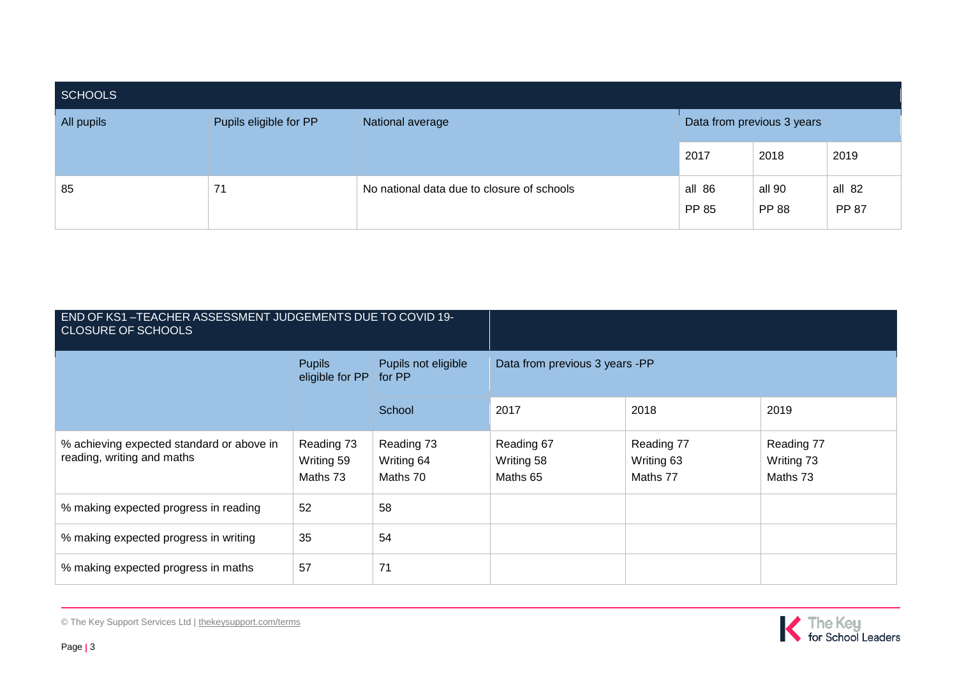| <b>SCHOOLS</b> |                        |                                            |                 |                            |                 |  |  |  |
|----------------|------------------------|--------------------------------------------|-----------------|----------------------------|-----------------|--|--|--|
| All pupils     | Pupils eligible for PP | National average                           |                 | Data from previous 3 years |                 |  |  |  |
|                |                        |                                            | 2017            | 2018                       | 2019            |  |  |  |
| 85             | 71                     | No national data due to closure of schools | all 86<br>PP 85 | all 90<br><b>PP 88</b>     | all 82<br>PP 87 |  |  |  |

| END OF KS1-TEACHER ASSESSMENT JUDGEMENTS DUE TO COVID 19-<br><b>CLOSURE OF SCHOOLS</b> |                                      |                                      |                                      |                                      |                                      |  |
|----------------------------------------------------------------------------------------|--------------------------------------|--------------------------------------|--------------------------------------|--------------------------------------|--------------------------------------|--|
|                                                                                        | <b>Pupils</b><br>eligible for PP     | Pupils not eligible<br>for PP        | Data from previous 3 years -PP       |                                      |                                      |  |
|                                                                                        |                                      | School                               | 2017                                 | 2018                                 | 2019                                 |  |
| % achieving expected standard or above in<br>reading, writing and maths                | Reading 73<br>Writing 59<br>Maths 73 | Reading 73<br>Writing 64<br>Maths 70 | Reading 67<br>Writing 58<br>Maths 65 | Reading 77<br>Writing 63<br>Maths 77 | Reading 77<br>Writing 73<br>Maths 73 |  |
| % making expected progress in reading                                                  | 52                                   | 58                                   |                                      |                                      |                                      |  |
| % making expected progress in writing                                                  | 35                                   | 54                                   |                                      |                                      |                                      |  |
| % making expected progress in maths                                                    | 57                                   | 71                                   |                                      |                                      |                                      |  |

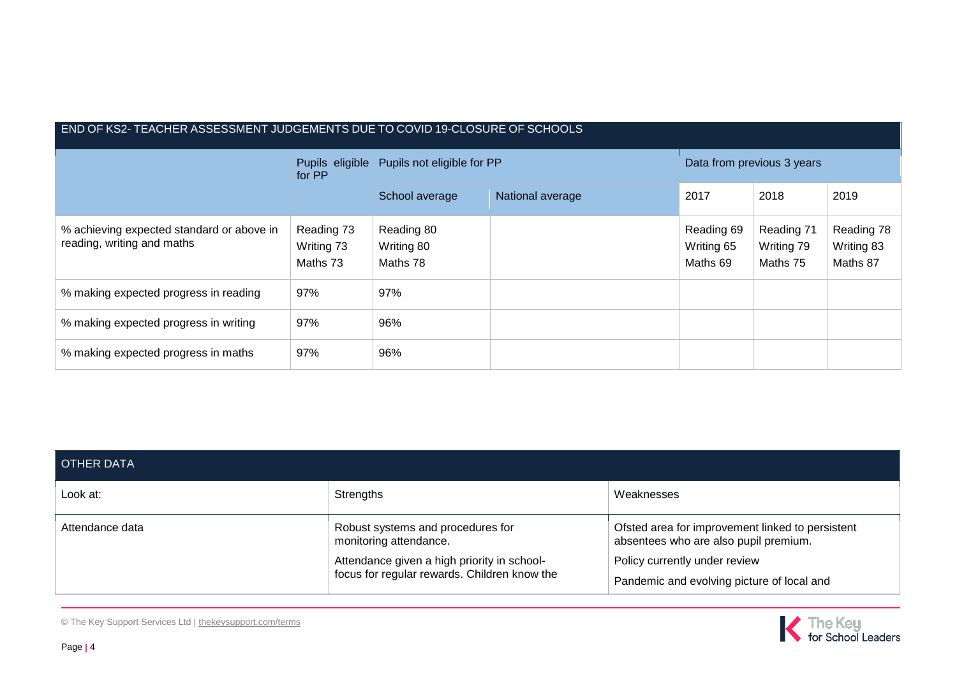| END OF KS2- TEACHER ASSESSMENT JUDGEMENTS DUE TO COVID 19-CLOSURE OF SCHOOLS |                                      |                                      |                  |                                      |                                      |                                      |  |  |
|------------------------------------------------------------------------------|--------------------------------------|--------------------------------------|------------------|--------------------------------------|--------------------------------------|--------------------------------------|--|--|
|                                                                              | Pupils eligible<br>for PP            | Pupils not eligible for PP           |                  | Data from previous 3 years           |                                      |                                      |  |  |
|                                                                              |                                      | School average                       | National average | 2017                                 | 2018                                 | 2019                                 |  |  |
| % achieving expected standard or above in<br>reading, writing and maths      | Reading 73<br>Writing 73<br>Maths 73 | Reading 80<br>Writing 80<br>Maths 78 |                  | Reading 69<br>Writing 65<br>Maths 69 | Reading 71<br>Writing 79<br>Maths 75 | Reading 78<br>Writing 83<br>Maths 87 |  |  |
| % making expected progress in reading                                        | 97%                                  | 97%                                  |                  |                                      |                                      |                                      |  |  |
| % making expected progress in writing                                        | 97%                                  | 96%                                  |                  |                                      |                                      |                                      |  |  |
| % making expected progress in maths                                          | 97%                                  | 96%                                  |                  |                                      |                                      |                                      |  |  |

| OTHER DATA      |                                                                                                                                                            |                                                                                                                                                                          |
|-----------------|------------------------------------------------------------------------------------------------------------------------------------------------------------|--------------------------------------------------------------------------------------------------------------------------------------------------------------------------|
| Look at:        | Strengths                                                                                                                                                  | Weaknesses                                                                                                                                                               |
| Attendance data | Robust systems and procedures for<br>monitoring attendance.<br>Attendance given a high priority in school-<br>focus for regular rewards. Children know the | Ofsted area for improvement linked to persistent<br>absentees who are also pupil premium.<br>Policy currently under review<br>Pandemic and evolving picture of local and |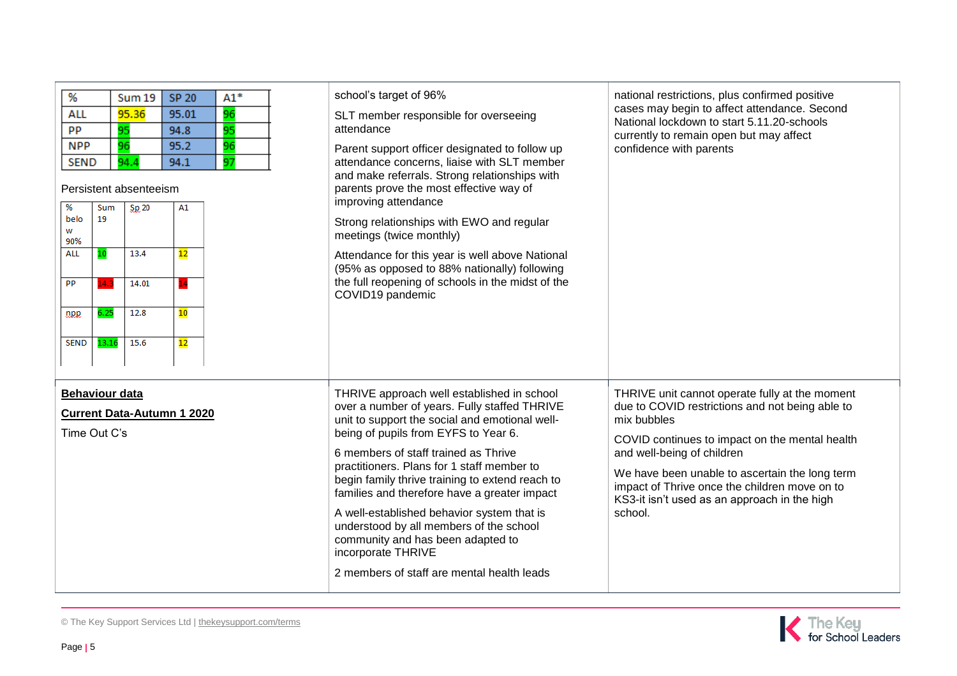| %<br>$A1*$<br><b>SP 20</b><br><b>Sum 19</b><br>96<br>95.36<br><b>ALL</b><br>95.01<br>95<br>PP<br>95<br>94.8<br><b>NPP</b><br>96<br>95.2<br>96<br>97<br><b>SEND</b><br>94.4<br>94.1<br>Persistent absenteeism<br>%<br>Sum<br>Sp.20<br>A1<br>belo<br>19<br>w<br>90%<br><b>ALL</b><br>$\overline{12}$<br>10<br>13.4<br>14.01<br><b>PP</b><br>$\mathbf{A}$ .<br>12.8<br>6.25<br>10<br>npp<br>15.6<br>13.16<br>12<br><b>SEND</b> | school's target of 96%<br>SLT member responsible for overseeing<br>attendance<br>Parent support officer designated to follow up<br>attendance concerns, liaise with SLT member<br>and make referrals. Strong relationships with<br>parents prove the most effective way of<br>improving attendance<br>Strong relationships with EWO and regular<br>meetings (twice monthly)<br>Attendance for this year is well above National<br>(95% as opposed to 88% nationally) following<br>the full reopening of schools in the midst of the<br>COVID19 pandemic                         | national restrictions, plus confirmed positive<br>cases may begin to affect attendance. Second<br>National lockdown to start 5.11.20-schools<br>currently to remain open but may affect<br>confidence with parents                                                                                                                                             |
|-----------------------------------------------------------------------------------------------------------------------------------------------------------------------------------------------------------------------------------------------------------------------------------------------------------------------------------------------------------------------------------------------------------------------------|---------------------------------------------------------------------------------------------------------------------------------------------------------------------------------------------------------------------------------------------------------------------------------------------------------------------------------------------------------------------------------------------------------------------------------------------------------------------------------------------------------------------------------------------------------------------------------|----------------------------------------------------------------------------------------------------------------------------------------------------------------------------------------------------------------------------------------------------------------------------------------------------------------------------------------------------------------|
| <b>Behaviour data</b><br><b>Current Data-Autumn 1 2020</b><br>Time Out C's                                                                                                                                                                                                                                                                                                                                                  | THRIVE approach well established in school<br>over a number of years. Fully staffed THRIVE<br>unit to support the social and emotional well-<br>being of pupils from EYFS to Year 6.<br>6 members of staff trained as Thrive<br>practitioners. Plans for 1 staff member to<br>begin family thrive training to extend reach to<br>families and therefore have a greater impact<br>A well-established behavior system that is<br>understood by all members of the school<br>community and has been adapted to<br>incorporate THRIVE<br>2 members of staff are mental health leads | THRIVE unit cannot operate fully at the moment<br>due to COVID restrictions and not being able to<br>mix bubbles<br>COVID continues to impact on the mental health<br>and well-being of children<br>We have been unable to ascertain the long term<br>impact of Thrive once the children move on to<br>KS3-it isn't used as an approach in the high<br>school. |

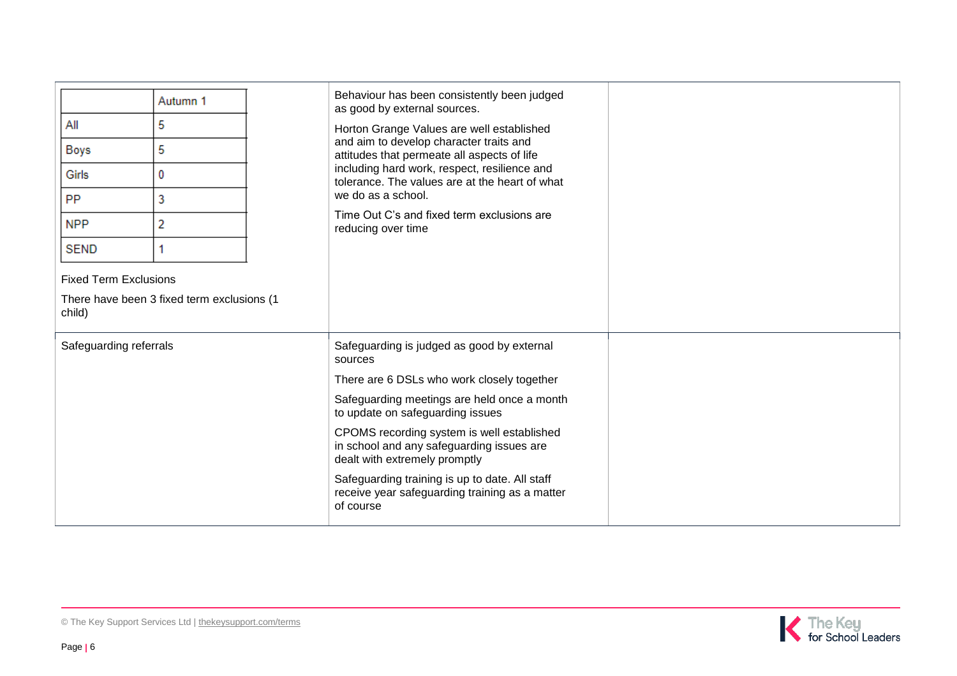|                                                                                      |          |                    | Behaviour has been consistently been judged                                                                              |  |
|--------------------------------------------------------------------------------------|----------|--------------------|--------------------------------------------------------------------------------------------------------------------------|--|
|                                                                                      | Autumn 1 |                    | as good by external sources.                                                                                             |  |
| All                                                                                  | 5        |                    | Horton Grange Values are well established                                                                                |  |
| Boys                                                                                 | 5        |                    | and aim to develop character traits and<br>attitudes that permeate all aspects of life                                   |  |
| Girls                                                                                | 0        |                    | including hard work, respect, resilience and<br>tolerance. The values are at the heart of what                           |  |
| <b>PP</b>                                                                            | 3        | we do as a school. |                                                                                                                          |  |
| <b>NPP</b>                                                                           | 2        | reducing over time | Time Out C's and fixed term exclusions are                                                                               |  |
| <b>SEND</b>                                                                          |          |                    |                                                                                                                          |  |
| <b>Fixed Term Exclusions</b><br>There have been 3 fixed term exclusions (1<br>child) |          |                    |                                                                                                                          |  |
| Safeguarding referrals                                                               |          | sources            | Safeguarding is judged as good by external                                                                               |  |
|                                                                                      |          |                    | There are 6 DSLs who work closely together                                                                               |  |
|                                                                                      |          |                    | Safeguarding meetings are held once a month<br>to update on safeguarding issues                                          |  |
|                                                                                      |          |                    | CPOMS recording system is well established<br>in school and any safeguarding issues are<br>dealt with extremely promptly |  |
|                                                                                      |          | of course          | Safeguarding training is up to date. All staff<br>receive year safeguarding training as a matter                         |  |

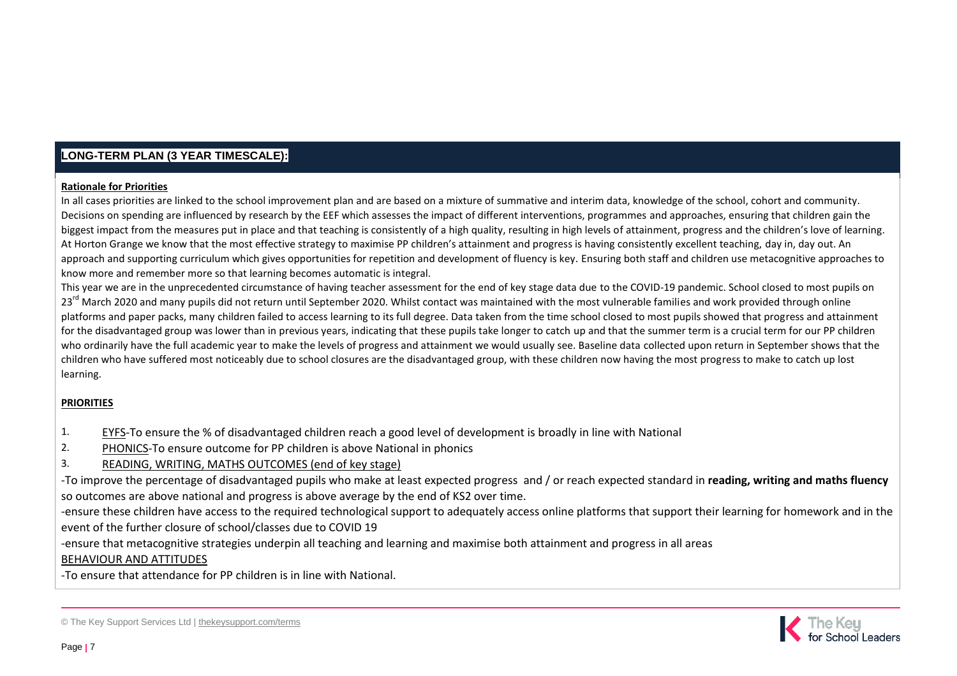## **LONG-TERM PLAN (3 YEAR TIMESCALE):**

#### **Rationale for Priorities**

In all cases priorities are linked to the school improvement plan and are based on a mixture of summative and interim data, knowledge of the school, cohort and community. Decisions on spending are influenced by research by the EEF which assesses the impact of different interventions, programmes and approaches, ensuring that children gain the biggest impact from the measures put in place and that teaching is consistently of a high quality, resulting in high levels of attainment, progress and the children's love of learning. At Horton Grange we know that the most effective strategy to maximise PP children's attainment and progress is having consistently excellent teaching, day in, day out. An approach and supporting curriculum which gives opportunities for repetition and development of fluency is key. Ensuring both staff and children use metacognitive approaches to know more and remember more so that learning becomes automatic is integral.

This year we are in the unprecedented circumstance of having teacher assessment for the end of key stage data due to the COVID-19 pandemic. School closed to most pupils on 23<sup>rd</sup> March 2020 and many pupils did not return until September 2020. Whilst contact was maintained with the most vulnerable families and work provided through online platforms and paper packs, many children failed to access learning to its full degree. Data taken from the time school closed to most pupils showed that progress and attainment for the disadvantaged group was lower than in previous years, indicating that these pupils take longer to catch up and that the summer term is a crucial term for our PP children who ordinarily have the full academic year to make the levels of progress and attainment we would usually see. Baseline data collected upon return in September shows that the children who have suffered most noticeably due to school closures are the disadvantaged group, with these children now having the most progress to make to catch up lost learning.

#### **PRIORITIES**

- 1. EYFS-To ensure the % of disadvantaged children reach a good level of development is broadly in line with National
- 2. PHONICS-To ensure outcome for PP children is above National in phonics
- 3. READING, WRITING, MATHS OUTCOMES (end of key stage)

-To improve the percentage of disadvantaged pupils who make at least expected progress and / or reach expected standard in **reading, writing and maths fluency** so outcomes are above national and progress is above average by the end of KS2 over time.

-ensure these children have access to the required technological support to adequately access online platforms that support their learning for homework and in the event of the further closure of school/classes due to COVID 19

-ensure that metacognitive strategies underpin all teaching and learning and maximise both attainment and progress in all areas

#### BEHAVIOUR AND ATTITUDES

-To ensure that attendance for PP children is in line with National.



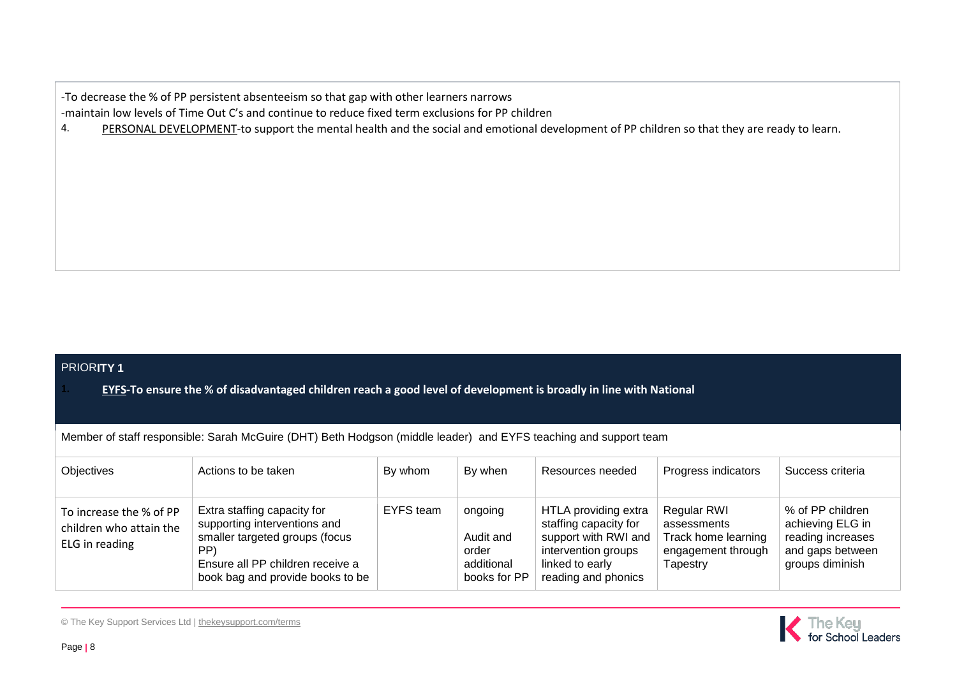-To decrease the % of PP persistent absenteeism so that gap with other learners narrows

-maintain low levels of Time Out C's and continue to reduce fixed term exclusions for PP children

4. PERSONAL DEVELOPMENT-to support the mental health and the social and emotional development of PP children so that they are ready to learn.

#### PRIOR**ITY 1**

**1. EYFS-To ensure the % of disadvantaged children reach a good level of development is broadly in line with National** 

Member of staff responsible: Sarah McGuire (DHT) Beth Hodgson (middle leader) and EYFS teaching and support team

| <b>Objectives</b>                                                    | Actions to be taken                                                                                                                                                          | By whom          | By when                                                     | Resources needed                                                                                                                       | Progress indicators                                                                 | Success criteria                                                                                 |
|----------------------------------------------------------------------|------------------------------------------------------------------------------------------------------------------------------------------------------------------------------|------------------|-------------------------------------------------------------|----------------------------------------------------------------------------------------------------------------------------------------|-------------------------------------------------------------------------------------|--------------------------------------------------------------------------------------------------|
| To increase the % of PP<br>children who attain the<br>ELG in reading | Extra staffing capacity for<br>supporting interventions and<br>smaller targeted groups (focus<br>PP)<br>Ensure all PP children receive a<br>book bag and provide books to be | <b>EYFS</b> team | ongoing<br>Audit and<br>order<br>additional<br>books for PP | HTLA providing extra<br>staffing capacity for<br>support with RWI and<br>intervention groups<br>linked to early<br>reading and phonics | Regular RWI<br>assessments<br>Track home learning<br>engagement through<br>Tapestry | % of PP children<br>achieving ELG in<br>reading increases<br>and gaps between<br>groups diminish |

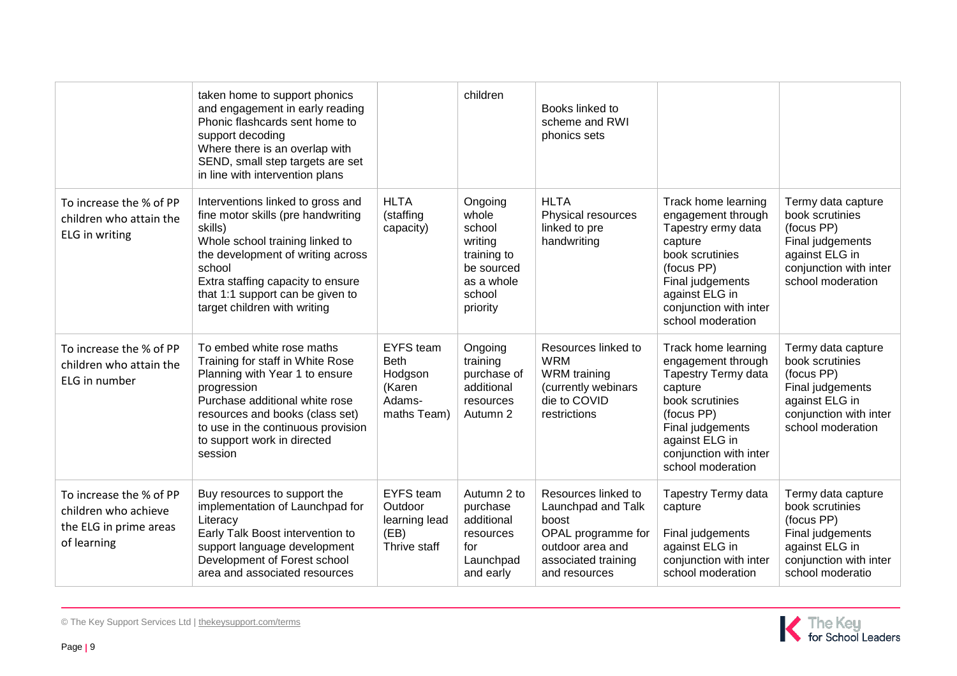|                                                                                          | taken home to support phonics<br>and engagement in early reading<br>Phonic flashcards sent home to<br>support decoding<br>Where there is an overlap with<br>SEND, small step targets are set<br>in line with intervention plans                                               |                                                                               | children                                                                                               | Books linked to<br>scheme and RWI<br>phonics sets                                                                                    |                                                                                                                                                                                                          |                                                                                                                                          |
|------------------------------------------------------------------------------------------|-------------------------------------------------------------------------------------------------------------------------------------------------------------------------------------------------------------------------------------------------------------------------------|-------------------------------------------------------------------------------|--------------------------------------------------------------------------------------------------------|--------------------------------------------------------------------------------------------------------------------------------------|----------------------------------------------------------------------------------------------------------------------------------------------------------------------------------------------------------|------------------------------------------------------------------------------------------------------------------------------------------|
| To increase the % of PP<br>children who attain the<br>ELG in writing                     | Interventions linked to gross and<br>fine motor skills (pre handwriting<br>skills)<br>Whole school training linked to<br>the development of writing across<br>school<br>Extra staffing capacity to ensure<br>that 1:1 support can be given to<br>target children with writing | <b>HLTA</b><br>(staffing<br>capacity)                                         | Ongoing<br>whole<br>school<br>writing<br>training to<br>be sourced<br>as a whole<br>school<br>priority | <b>HLTA</b><br>Physical resources<br>linked to pre<br>handwriting                                                                    | Track home learning<br>engagement through<br>Tapestry ermy data<br>capture<br>book scrutinies<br>(focus PP)<br>Final judgements<br>against ELG in<br>conjunction with inter<br>school moderation         | Termy data capture<br>book scrutinies<br>(focus PP)<br>Final judgements<br>against ELG in<br>conjunction with inter<br>school moderation |
| To increase the % of PP<br>children who attain the<br>ELG in number                      | To embed white rose maths<br>Training for staff in White Rose<br>Planning with Year 1 to ensure<br>progression<br>Purchase additional white rose<br>resources and books (class set)<br>to use in the continuous provision<br>to support work in directed<br>session           | <b>EYFS</b> team<br><b>Beth</b><br>Hodgson<br>(Karen<br>Adams-<br>maths Team) | Ongoing<br>training<br>purchase of<br>additional<br>resources<br>Autumn 2                              | Resources linked to<br><b>WRM</b><br><b>WRM</b> training<br>(currently webinars<br>die to COVID<br>restrictions                      | Track home learning<br>engagement through<br><b>Tapestry Termy data</b><br>capture<br>book scrutinies<br>(focus PP)<br>Final judgements<br>against ELG in<br>conjunction with inter<br>school moderation | Termy data capture<br>book scrutinies<br>(focus PP)<br>Final judgements<br>against ELG in<br>conjunction with inter<br>school moderation |
| To increase the % of PP<br>children who achieve<br>the ELG in prime areas<br>of learning | Buy resources to support the<br>implementation of Launchpad for<br>Literacy<br>Early Talk Boost intervention to<br>support language development<br>Development of Forest school<br>area and associated resources                                                              | <b>EYFS</b> team<br>Outdoor<br>learning lead<br>(EB)<br>Thrive staff          | Autumn 2 to<br>purchase<br>additional<br>resources<br>for<br>Launchpad<br>and early                    | Resources linked to<br>Launchpad and Talk<br>boost<br>OPAL programme for<br>outdoor area and<br>associated training<br>and resources | <b>Tapestry Termy data</b><br>capture<br>Final judgements<br>against ELG in<br>conjunction with inter<br>school moderation                                                                               | Termy data capture<br>book scrutinies<br>(focus PP)<br>Final judgements<br>against ELG in<br>conjunction with inter<br>school moderatio  |

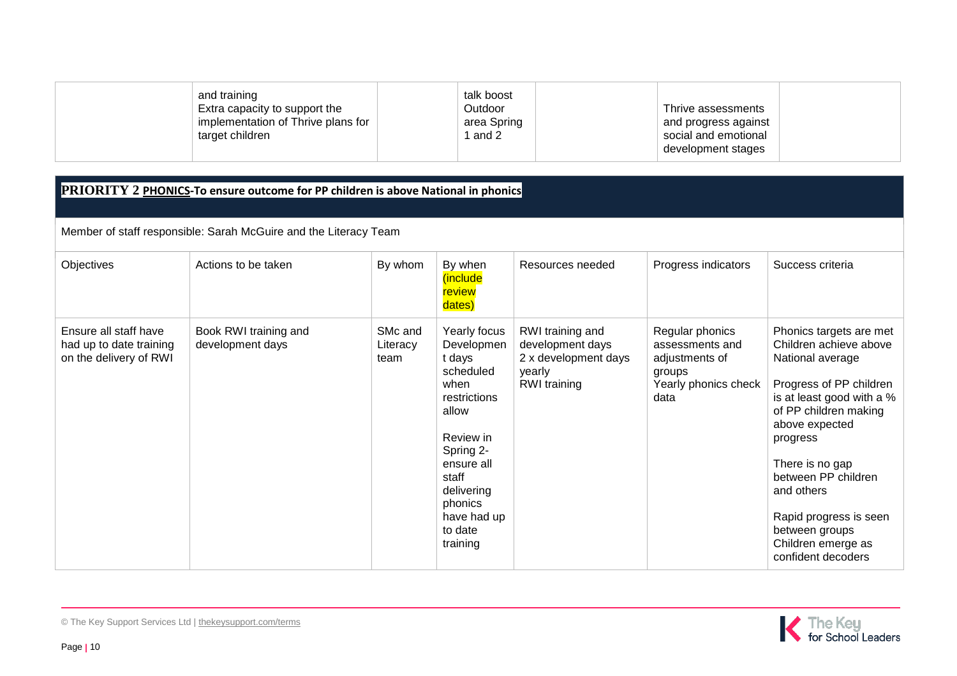| and training                       | talk boost  |                      |  |
|------------------------------------|-------------|----------------------|--|
| Extra capacity to support the      | Outdoor     | Thrive assessments   |  |
| implementation of Thrive plans for | area Spring | and progress against |  |
| target children                    | and 2       | social and emotional |  |
|                                    |             | development stages   |  |

## **PRIORITY 2 PHONICS-To ensure outcome for PP children is above National in phonics**

Member of staff responsible: Sarah McGuire and the Literacy Team

| Objectives                                                                 | Actions to be taken                       | By whom                     | By when<br>(include<br>review<br>dates)                                                                                                                                                            | Resources needed                                                                       | Progress indicators                                                                            | Success criteria                                                                                                                                                                                                                                                                                                                     |
|----------------------------------------------------------------------------|-------------------------------------------|-----------------------------|----------------------------------------------------------------------------------------------------------------------------------------------------------------------------------------------------|----------------------------------------------------------------------------------------|------------------------------------------------------------------------------------------------|--------------------------------------------------------------------------------------------------------------------------------------------------------------------------------------------------------------------------------------------------------------------------------------------------------------------------------------|
| Ensure all staff have<br>had up to date training<br>on the delivery of RWI | Book RWI training and<br>development days | SMc and<br>Literacy<br>team | Yearly focus<br>Developmen<br>t days<br>scheduled<br>when<br>restrictions<br>allow<br>Review in<br>Spring 2-<br>ensure all<br>staff<br>delivering<br>phonics<br>have had up<br>to date<br>training | RWI training and<br>development days<br>2 x development days<br>yearly<br>RWI training | Regular phonics<br>assessments and<br>adjustments of<br>groups<br>Yearly phonics check<br>data | Phonics targets are met<br>Children achieve above<br>National average<br>Progress of PP children<br>is at least good with a %<br>of PP children making<br>above expected<br>progress<br>There is no gap<br>between PP children<br>and others<br>Rapid progress is seen<br>between groups<br>Children emerge as<br>confident decoders |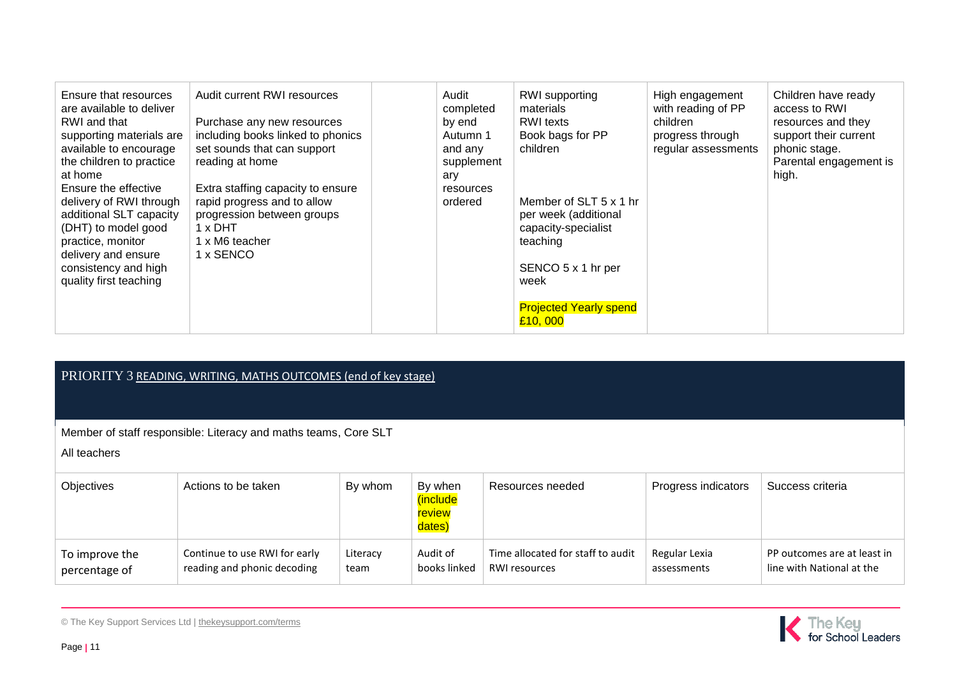| PRIORITY 3 READING, WRITING, MATHS OUTCOMES (end of key stage) |
|----------------------------------------------------------------|
|----------------------------------------------------------------|

Member of staff responsible: Literacy and maths teams, Core SLT

All teachers

| <b>Objectives</b> | Actions to be taken           | By whom  | By when<br><i>(include)</i><br>review<br>dates) | Resources needed                  | Progress indicators | Success criteria            |
|-------------------|-------------------------------|----------|-------------------------------------------------|-----------------------------------|---------------------|-----------------------------|
| To improve the    | Continue to use RWI for early | Literacy | Audit of                                        | Time allocated for staff to audit | Regular Lexia       | PP outcomes are at least in |
| percentage of     | reading and phonic decoding   | team     | books linked                                    | <b>RWI resources</b>              | assessments         | line with National at the   |

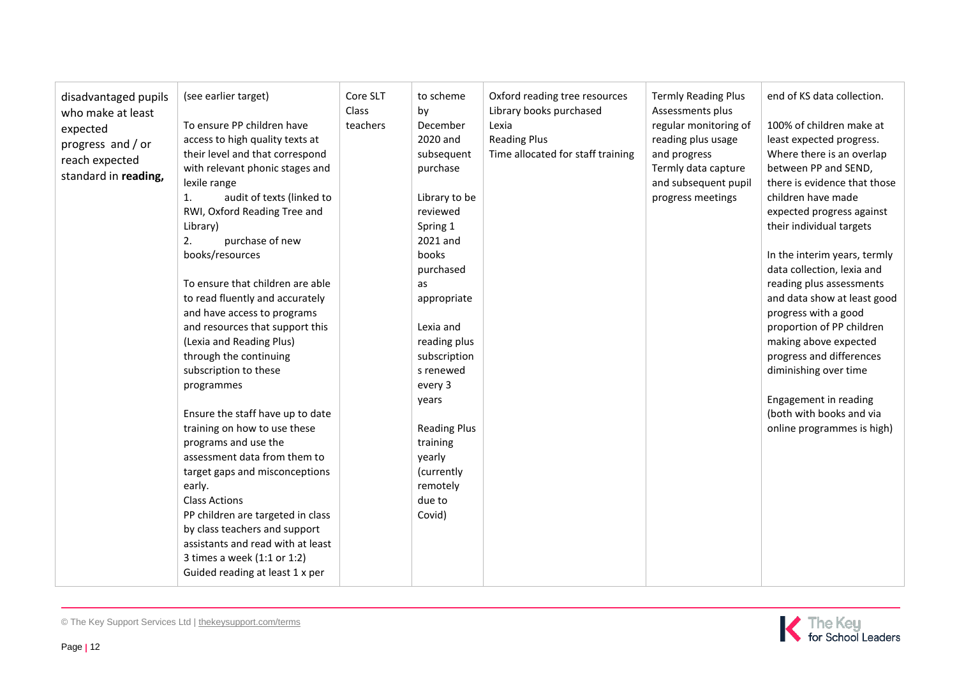| disadvantaged pupils<br>who make at least<br>expected<br>progress and / or<br>reach expected<br>standard in reading, | (see earlier target)<br>To ensure PP children have<br>access to high quality texts at<br>their level and that correspond<br>with relevant phonic stages and<br>lexile range<br>audit of texts (linked to<br>1.<br>RWI, Oxford Reading Tree and<br>Library)<br>purchase of new<br>2.<br>books/resources<br>To ensure that children are able<br>to read fluently and accurately<br>and have access to programs<br>and resources that support this<br>(Lexia and Reading Plus)<br>through the continuing<br>subscription to these<br>programmes<br>Ensure the staff have up to date<br>training on how to use these<br>programs and use the<br>assessment data from them to<br>target gaps and misconceptions<br>early.<br><b>Class Actions</b><br>PP children are targeted in class<br>by class teachers and support<br>assistants and read with at least<br>3 times a week (1:1 or 1:2)<br>Guided reading at least 1 x per | Core SLT<br>Class<br>teachers | to scheme<br>by<br>December<br>2020 and<br>subsequent<br>purchase<br>Library to be<br>reviewed<br>Spring 1<br>2021 and<br>books<br>purchased<br>as<br>appropriate<br>Lexia and<br>reading plus<br>subscription<br>s renewed<br>every 3<br>years<br><b>Reading Plus</b><br>training<br>yearly<br>(currently<br>remotely<br>due to<br>Covid) | Oxford reading tree resources<br>Library books purchased<br>Lexia<br><b>Reading Plus</b><br>Time allocated for staff training | <b>Termly Reading Plus</b><br>Assessments plus<br>regular monitoring of<br>reading plus usage<br>and progress<br>Termly data capture<br>and subsequent pupil<br>progress meetings | end of KS data collection.<br>100% of children make at<br>least expected progress.<br>Where there is an overlap<br>between PP and SEND,<br>there is evidence that those<br>children have made<br>expected progress against<br>their individual targets<br>In the interim years, termly<br>data collection, lexia and<br>reading plus assessments<br>and data show at least good<br>progress with a good<br>proportion of PP children<br>making above expected<br>progress and differences<br>diminishing over time<br>Engagement in reading<br>(both with books and via<br>online programmes is high) |
|----------------------------------------------------------------------------------------------------------------------|---------------------------------------------------------------------------------------------------------------------------------------------------------------------------------------------------------------------------------------------------------------------------------------------------------------------------------------------------------------------------------------------------------------------------------------------------------------------------------------------------------------------------------------------------------------------------------------------------------------------------------------------------------------------------------------------------------------------------------------------------------------------------------------------------------------------------------------------------------------------------------------------------------------------------|-------------------------------|--------------------------------------------------------------------------------------------------------------------------------------------------------------------------------------------------------------------------------------------------------------------------------------------------------------------------------------------|-------------------------------------------------------------------------------------------------------------------------------|-----------------------------------------------------------------------------------------------------------------------------------------------------------------------------------|-------------------------------------------------------------------------------------------------------------------------------------------------------------------------------------------------------------------------------------------------------------------------------------------------------------------------------------------------------------------------------------------------------------------------------------------------------------------------------------------------------------------------------------------------------------------------------------------------------|
|----------------------------------------------------------------------------------------------------------------------|---------------------------------------------------------------------------------------------------------------------------------------------------------------------------------------------------------------------------------------------------------------------------------------------------------------------------------------------------------------------------------------------------------------------------------------------------------------------------------------------------------------------------------------------------------------------------------------------------------------------------------------------------------------------------------------------------------------------------------------------------------------------------------------------------------------------------------------------------------------------------------------------------------------------------|-------------------------------|--------------------------------------------------------------------------------------------------------------------------------------------------------------------------------------------------------------------------------------------------------------------------------------------------------------------------------------------|-------------------------------------------------------------------------------------------------------------------------------|-----------------------------------------------------------------------------------------------------------------------------------------------------------------------------------|-------------------------------------------------------------------------------------------------------------------------------------------------------------------------------------------------------------------------------------------------------------------------------------------------------------------------------------------------------------------------------------------------------------------------------------------------------------------------------------------------------------------------------------------------------------------------------------------------------|

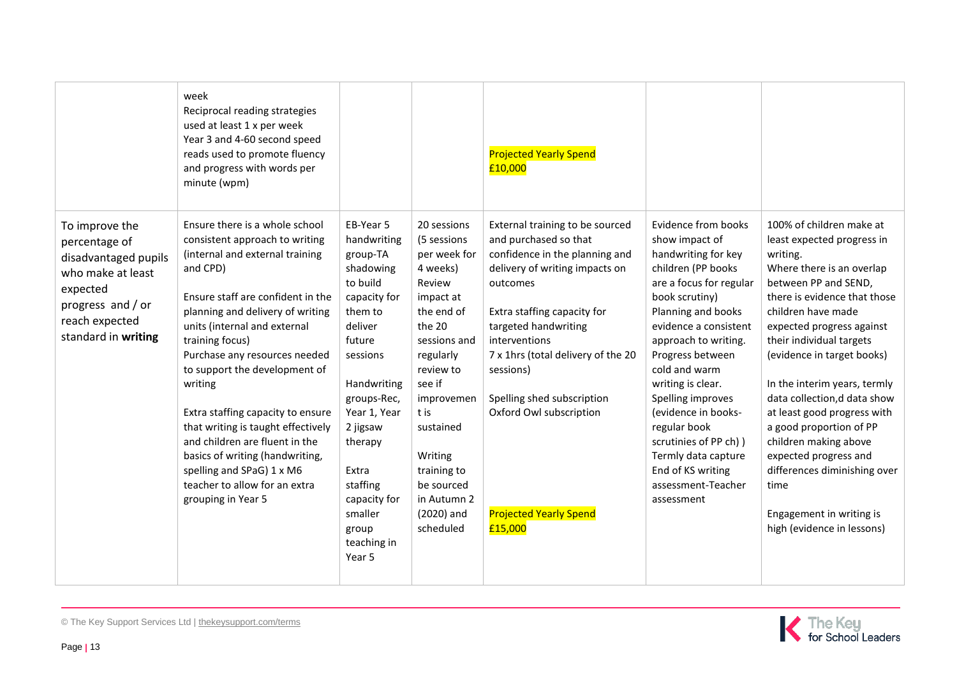|                                                                                                                                                        | week<br>Reciprocal reading strategies<br>used at least 1 x per week<br>Year 3 and 4-60 second speed<br>reads used to promote fluency<br>and progress with words per<br>minute (wpm)                                                                                                                                                                                                                                                                                                                                                                          |                                                                                                                                                                                                                                                                                  |                                                                                                                                                                                                                                                                                | <b>Projected Yearly Spend</b><br>£10,000                                                                                                                                                                                                                                                                                                                                 |                                                                                                                                                                                                                                                                                                                                                                                                                                               |                                                                                                                                                                                                                                                                                                                                                                                                                                                                                                                                                    |
|--------------------------------------------------------------------------------------------------------------------------------------------------------|--------------------------------------------------------------------------------------------------------------------------------------------------------------------------------------------------------------------------------------------------------------------------------------------------------------------------------------------------------------------------------------------------------------------------------------------------------------------------------------------------------------------------------------------------------------|----------------------------------------------------------------------------------------------------------------------------------------------------------------------------------------------------------------------------------------------------------------------------------|--------------------------------------------------------------------------------------------------------------------------------------------------------------------------------------------------------------------------------------------------------------------------------|--------------------------------------------------------------------------------------------------------------------------------------------------------------------------------------------------------------------------------------------------------------------------------------------------------------------------------------------------------------------------|-----------------------------------------------------------------------------------------------------------------------------------------------------------------------------------------------------------------------------------------------------------------------------------------------------------------------------------------------------------------------------------------------------------------------------------------------|----------------------------------------------------------------------------------------------------------------------------------------------------------------------------------------------------------------------------------------------------------------------------------------------------------------------------------------------------------------------------------------------------------------------------------------------------------------------------------------------------------------------------------------------------|
| To improve the<br>percentage of<br>disadvantaged pupils<br>who make at least<br>expected<br>progress and / or<br>reach expected<br>standard in writing | Ensure there is a whole school<br>consistent approach to writing<br>(internal and external training<br>and CPD)<br>Ensure staff are confident in the<br>planning and delivery of writing<br>units (internal and external<br>training focus)<br>Purchase any resources needed<br>to support the development of<br>writing<br>Extra staffing capacity to ensure<br>that writing is taught effectively<br>and children are fluent in the<br>basics of writing (handwriting,<br>spelling and SPaG) 1 x M6<br>teacher to allow for an extra<br>grouping in Year 5 | EB-Year 5<br>handwriting<br>group-TA<br>shadowing<br>to build<br>capacity for<br>them to<br>deliver<br>future<br>sessions<br>Handwriting<br>groups-Rec,<br>Year 1, Year<br>2 jigsaw<br>therapy<br>Extra<br>staffing<br>capacity for<br>smaller<br>group<br>teaching in<br>Year 5 | 20 sessions<br>(5 sessions<br>per week for<br>4 weeks)<br>Review<br>impact at<br>the end of<br>the 20<br>sessions and<br>regularly<br>review to<br>see if<br>improvemen<br>t is<br>sustained<br>Writing<br>training to<br>be sourced<br>in Autumn 2<br>(2020) and<br>scheduled | External training to be sourced<br>and purchased so that<br>confidence in the planning and<br>delivery of writing impacts on<br>outcomes<br>Extra staffing capacity for<br>targeted handwriting<br>interventions<br>7 x 1hrs (total delivery of the 20<br>sessions)<br>Spelling shed subscription<br>Oxford Owl subscription<br><b>Projected Yearly Spend</b><br>£15,000 | <b>Evidence from books</b><br>show impact of<br>handwriting for key<br>children (PP books<br>are a focus for regular<br>book scrutiny)<br>Planning and books<br>evidence a consistent<br>approach to writing.<br>Progress between<br>cold and warm<br>writing is clear.<br>Spelling improves<br>(evidence in books-<br>regular book<br>scrutinies of PP ch) )<br>Termly data capture<br>End of KS writing<br>assessment-Teacher<br>assessment | 100% of children make at<br>least expected progress in<br>writing.<br>Where there is an overlap<br>between PP and SEND,<br>there is evidence that those<br>children have made<br>expected progress against<br>their individual targets<br>(evidence in target books)<br>In the interim years, termly<br>data collection, d data show<br>at least good progress with<br>a good proportion of PP<br>children making above<br>expected progress and<br>differences diminishing over<br>time<br>Engagement in writing is<br>high (evidence in lessons) |

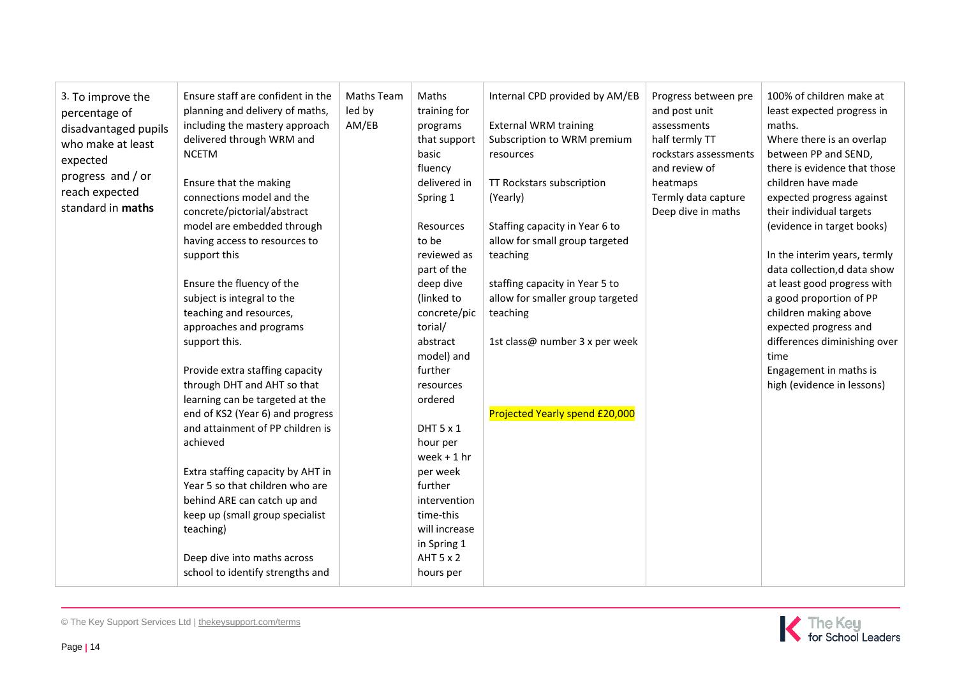| 3. To improve the<br>percentage of | Ensure staff are confident in the<br>planning and delivery of maths, | Maths Team<br>led by | Maths<br>training for  | Internal CPD provided by AM/EB   | Progress between pre<br>and post unit | 100% of children make at<br>least expected progress in |
|------------------------------------|----------------------------------------------------------------------|----------------------|------------------------|----------------------------------|---------------------------------------|--------------------------------------------------------|
| disadvantaged pupils               | including the mastery approach                                       | AM/EB                | programs               | <b>External WRM training</b>     | assessments                           | maths.                                                 |
| who make at least                  | delivered through WRM and                                            |                      | that support           | Subscription to WRM premium      | half termly TT                        | Where there is an overlap                              |
| expected                           | <b>NCETM</b>                                                         |                      | basic                  | resources                        | rockstars assessments                 | between PP and SEND,                                   |
| progress and / or                  |                                                                      |                      | fluency                |                                  | and review of                         | there is evidence that those                           |
| reach expected                     | Ensure that the making                                               |                      | delivered in           | TT Rockstars subscription        | heatmaps                              | children have made                                     |
| standard in maths                  | connections model and the                                            |                      | Spring 1               | (Yearly)                         | Termly data capture                   | expected progress against                              |
|                                    | concrete/pictorial/abstract                                          |                      |                        |                                  | Deep dive in maths                    | their individual targets                               |
|                                    | model are embedded through                                           |                      | <b>Resources</b>       | Staffing capacity in Year 6 to   |                                       | (evidence in target books)                             |
|                                    | having access to resources to                                        |                      | to be                  | allow for small group targeted   |                                       |                                                        |
|                                    | support this                                                         |                      | reviewed as            | teaching                         |                                       | In the interim years, termly                           |
|                                    |                                                                      |                      | part of the            |                                  |                                       | data collection,d data show                            |
|                                    | Ensure the fluency of the                                            |                      | deep dive              | staffing capacity in Year 5 to   |                                       | at least good progress with                            |
|                                    | subject is integral to the                                           |                      | (linked to             | allow for smaller group targeted |                                       | a good proportion of PP                                |
|                                    | teaching and resources,                                              |                      | concrete/pic           | teaching                         |                                       | children making above                                  |
|                                    | approaches and programs                                              |                      | torial/                |                                  |                                       | expected progress and                                  |
|                                    | support this.                                                        |                      | abstract<br>model) and | 1st class@ number 3 x per week   |                                       | differences diminishing over<br>time                   |
|                                    | Provide extra staffing capacity                                      |                      | further                |                                  |                                       | Engagement in maths is                                 |
|                                    | through DHT and AHT so that                                          |                      | resources              |                                  |                                       | high (evidence in lessons)                             |
|                                    | learning can be targeted at the                                      |                      | ordered                |                                  |                                       |                                                        |
|                                    | end of KS2 (Year 6) and progress                                     |                      |                        | Projected Yearly spend £20,000   |                                       |                                                        |
|                                    | and attainment of PP children is                                     |                      | DHT 5 x 1              |                                  |                                       |                                                        |
|                                    | achieved                                                             |                      | hour per               |                                  |                                       |                                                        |
|                                    |                                                                      |                      | week $+1$ hr           |                                  |                                       |                                                        |
|                                    | Extra staffing capacity by AHT in                                    |                      | per week               |                                  |                                       |                                                        |
|                                    | Year 5 so that children who are                                      |                      | further                |                                  |                                       |                                                        |
|                                    | behind ARE can catch up and                                          |                      | intervention           |                                  |                                       |                                                        |
|                                    | keep up (small group specialist                                      |                      | time-this              |                                  |                                       |                                                        |
|                                    | teaching)                                                            |                      | will increase          |                                  |                                       |                                                        |
|                                    |                                                                      |                      | in Spring 1            |                                  |                                       |                                                        |
|                                    | Deep dive into maths across                                          |                      | AHT 5 x 2              |                                  |                                       |                                                        |
|                                    | school to identify strengths and                                     |                      | hours per              |                                  |                                       |                                                        |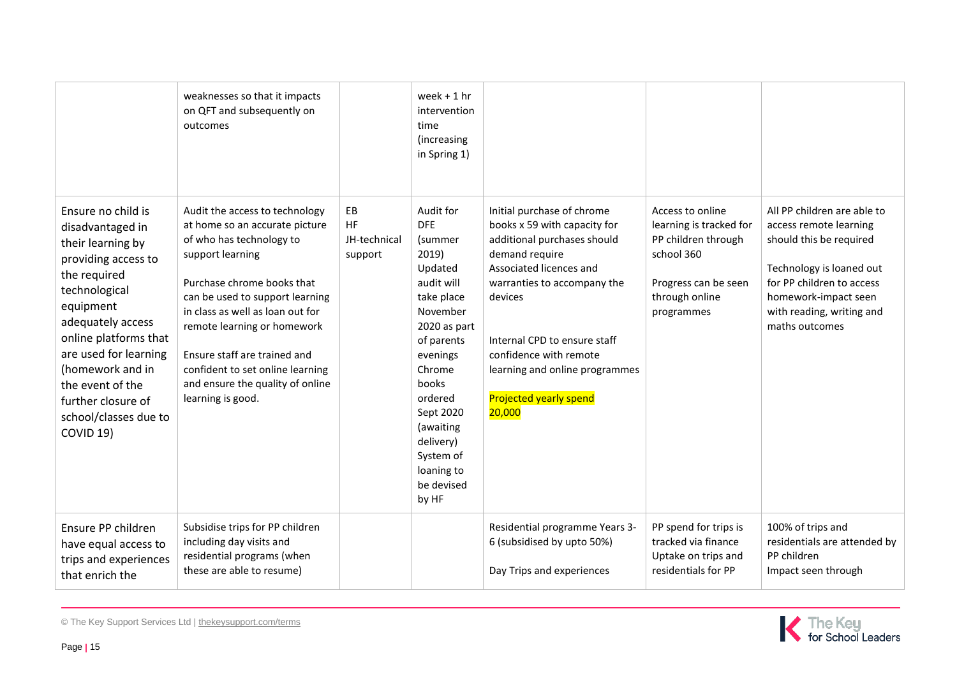|                                                                                                                                                                                                                                                                                                             | weaknesses so that it impacts<br>on QFT and subsequently on<br>outcomes                                                                                                                                                                                                                                                                                                           |                                            | week $+1$ hr<br>intervention<br>time<br>(increasing<br>in Spring 1)                                                                                                                                                                                             |                                                                                                                                                                                                                                                                                                                         |                                                                                                                                          |                                                                                                                                                                                                                  |
|-------------------------------------------------------------------------------------------------------------------------------------------------------------------------------------------------------------------------------------------------------------------------------------------------------------|-----------------------------------------------------------------------------------------------------------------------------------------------------------------------------------------------------------------------------------------------------------------------------------------------------------------------------------------------------------------------------------|--------------------------------------------|-----------------------------------------------------------------------------------------------------------------------------------------------------------------------------------------------------------------------------------------------------------------|-------------------------------------------------------------------------------------------------------------------------------------------------------------------------------------------------------------------------------------------------------------------------------------------------------------------------|------------------------------------------------------------------------------------------------------------------------------------------|------------------------------------------------------------------------------------------------------------------------------------------------------------------------------------------------------------------|
| Ensure no child is<br>disadvantaged in<br>their learning by<br>providing access to<br>the required<br>technological<br>equipment<br>adequately access<br>online platforms that<br>are used for learning<br>(homework and in<br>the event of the<br>further closure of<br>school/classes due to<br>COVID 19) | Audit the access to technology<br>at home so an accurate picture<br>of who has technology to<br>support learning<br>Purchase chrome books that<br>can be used to support learning<br>in class as well as loan out for<br>remote learning or homework<br>Ensure staff are trained and<br>confident to set online learning<br>and ensure the quality of online<br>learning is good. | EB<br><b>HF</b><br>JH-technical<br>support | Audit for<br><b>DFE</b><br>(summer<br>2019)<br>Updated<br>audit will<br>take place<br>November<br>2020 as part<br>of parents<br>evenings<br>Chrome<br>books<br>ordered<br>Sept 2020<br>(awaiting<br>delivery)<br>System of<br>loaning to<br>be devised<br>by HF | Initial purchase of chrome<br>books x 59 with capacity for<br>additional purchases should<br>demand require<br>Associated licences and<br>warranties to accompany the<br>devices<br>Internal CPD to ensure staff<br>confidence with remote<br>learning and online programmes<br><b>Projected yearly spend</b><br>20,000 | Access to online<br>learning is tracked for<br>PP children through<br>school 360<br>Progress can be seen<br>through online<br>programmes | All PP children are able to<br>access remote learning<br>should this be required<br>Technology is loaned out<br>for PP children to access<br>homework-impact seen<br>with reading, writing and<br>maths outcomes |
| Ensure PP children<br>have equal access to<br>trips and experiences<br>that enrich the                                                                                                                                                                                                                      | Subsidise trips for PP children<br>including day visits and<br>residential programs (when<br>these are able to resume)                                                                                                                                                                                                                                                            |                                            |                                                                                                                                                                                                                                                                 | Residential programme Years 3-<br>6 (subsidised by upto 50%)<br>Day Trips and experiences                                                                                                                                                                                                                               | PP spend for trips is<br>tracked via finance<br>Uptake on trips and<br>residentials for PP                                               | 100% of trips and<br>residentials are attended by<br>PP children<br>Impact seen through                                                                                                                          |

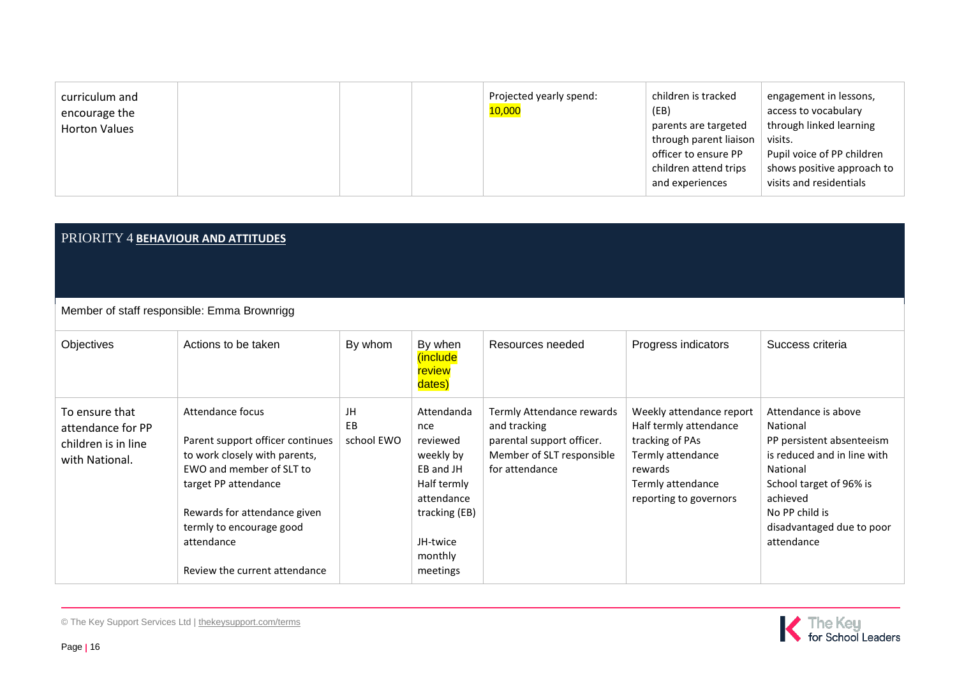| curriculum and<br>encourage the |  | Projected yearly spend:<br>10,000 | children is tracked<br>(EB)                                      | engagement in lessons,<br>access to vocabulary                                      |
|---------------------------------|--|-----------------------------------|------------------------------------------------------------------|-------------------------------------------------------------------------------------|
| <b>Horton Values</b>            |  |                                   | parents are targeted<br>through parent liaison                   | through linked learning<br>visits.                                                  |
|                                 |  |                                   | officer to ensure PP<br>children attend trips<br>and experiences | Pupil voice of PP children<br>shows positive approach to<br>visits and residentials |

### PRIORITY 4 **BEHAVIOUR AND ATTITUDES**

Member of staff responsible: Emma Brownrigg

| Objectives                                                                   | Actions to be taken                                                                                                                                                                                                                                  | By whom                | By when<br><i>(include)</i><br>review<br>dates)                                                                                          | Resources needed                                                                                                      | Progress indicators                                                                                                                                  | Success criteria                                                                                                                                                                                            |
|------------------------------------------------------------------------------|------------------------------------------------------------------------------------------------------------------------------------------------------------------------------------------------------------------------------------------------------|------------------------|------------------------------------------------------------------------------------------------------------------------------------------|-----------------------------------------------------------------------------------------------------------------------|------------------------------------------------------------------------------------------------------------------------------------------------------|-------------------------------------------------------------------------------------------------------------------------------------------------------------------------------------------------------------|
| To ensure that<br>attendance for PP<br>children is in line<br>with National. | Attendance focus<br>Parent support officer continues<br>to work closely with parents,<br>EWO and member of SLT to<br>target PP attendance<br>Rewards for attendance given<br>termly to encourage good<br>attendance<br>Review the current attendance | JH<br>EB<br>school EWO | Attendanda<br>nce<br>reviewed<br>weekly by<br>EB and JH<br>Half termly<br>attendance<br>tracking (EB)<br>JH-twice<br>monthly<br>meetings | Termly Attendance rewards<br>and tracking<br>parental support officer.<br>Member of SLT responsible<br>for attendance | Weekly attendance report<br>Half termly attendance<br>tracking of PAs<br>Termly attendance<br>rewards<br>Termly attendance<br>reporting to governors | Attendance is above<br>National<br>PP persistent absenteeism<br>is reduced and in line with<br>National<br>School target of 96% is<br>achieved<br>No PP child is<br>disadvantaged due to poor<br>attendance |

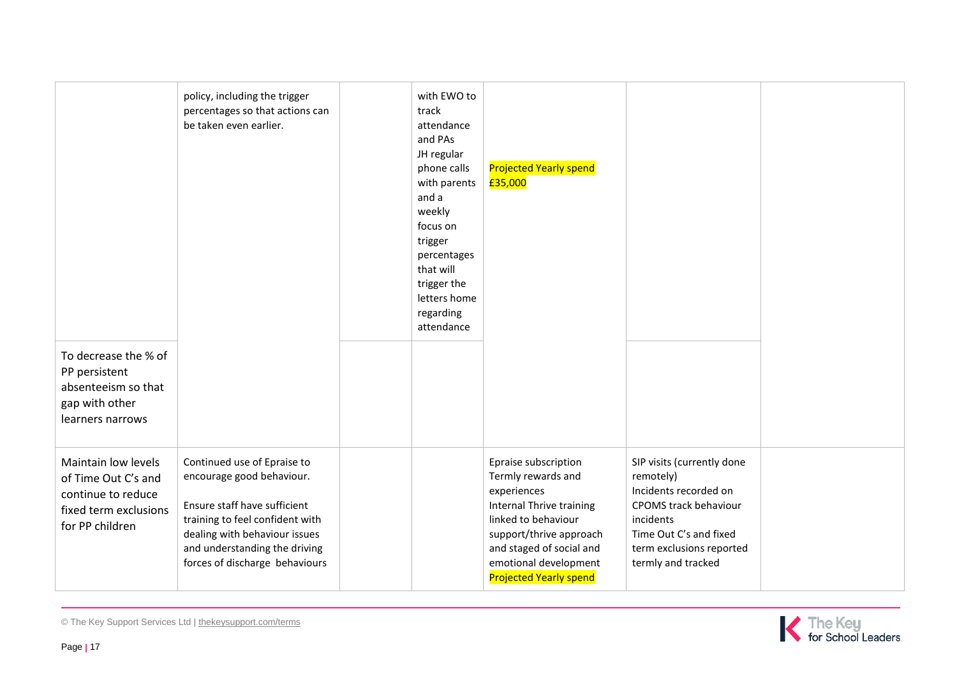| To decrease the % of<br>PP persistent<br>absenteeism so that<br>gap with other<br>learners narrows           | policy, including the trigger<br>percentages so that actions can<br>be taken even earlier.                                                                                                                                      | with EWO to<br>track<br>attendance<br>and PAs<br>JH regular<br>phone calls<br>with parents<br>and a<br>weekly<br>focus on<br>trigger<br>percentages<br>that will<br>trigger the<br>letters home<br>regarding<br>attendance | <b>Projected Yearly spend</b><br>£35,000                                                                                                                                                                                             |                                                                                                                                                                                    |  |
|--------------------------------------------------------------------------------------------------------------|---------------------------------------------------------------------------------------------------------------------------------------------------------------------------------------------------------------------------------|----------------------------------------------------------------------------------------------------------------------------------------------------------------------------------------------------------------------------|--------------------------------------------------------------------------------------------------------------------------------------------------------------------------------------------------------------------------------------|------------------------------------------------------------------------------------------------------------------------------------------------------------------------------------|--|
| Maintain low levels<br>of Time Out C's and<br>continue to reduce<br>fixed term exclusions<br>for PP children | Continued use of Epraise to<br>encourage good behaviour.<br>Ensure staff have sufficient<br>training to feel confident with<br>dealing with behaviour issues<br>and understanding the driving<br>forces of discharge behaviours |                                                                                                                                                                                                                            | Epraise subscription<br>Termly rewards and<br>experiences<br><b>Internal Thrive training</b><br>linked to behaviour<br>support/thrive approach<br>and staged of social and<br>emotional development<br><b>Projected Yearly spend</b> | SIP visits (currently done<br>remotely)<br>Incidents recorded on<br>CPOMS track behaviour<br>incidents<br>Time Out C's and fixed<br>term exclusions reported<br>termly and tracked |  |



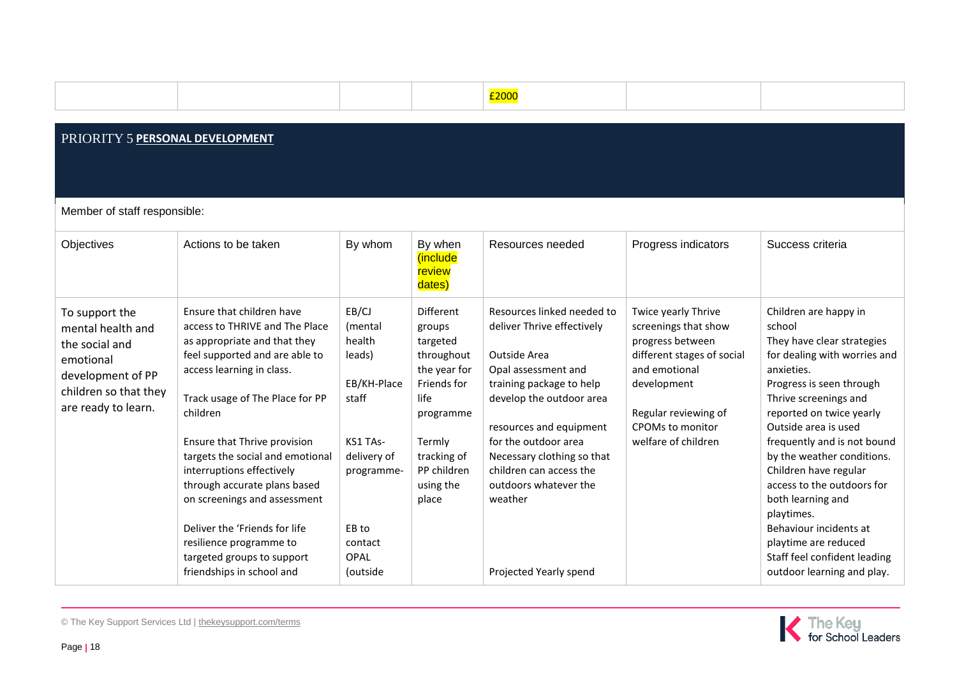|  |  | <u>2000:</u><br><b>Design to the contract of the contract of the contract of the contract of the contract of the contract of the</b><br><u> The Communication of the Communication of the Communication of the Communication of the Communication of the Co</u> |  |
|--|--|-----------------------------------------------------------------------------------------------------------------------------------------------------------------------------------------------------------------------------------------------------------------|--|
|  |  |                                                                                                                                                                                                                                                                 |  |
|  |  |                                                                                                                                                                                                                                                                 |  |

## PRIORITY 5 **PERSONAL DEVELOPMENT**

Member of staff responsible:

| Objectives                                                                                                                              | Actions to be taken                                                                                                                                                                                                                                                                                                                                                                                                                                                                               | By whom                                                                                                                                              | By when<br>include<br>review<br>dates)                                                                                                                          | Resources needed                                                                                                                                                                                                                                                                                                                  | Progress indicators                                                                                                                                                                              | Success criteria                                                                                                                                                                                                                                                                                                                                                                                                                                                                            |
|-----------------------------------------------------------------------------------------------------------------------------------------|---------------------------------------------------------------------------------------------------------------------------------------------------------------------------------------------------------------------------------------------------------------------------------------------------------------------------------------------------------------------------------------------------------------------------------------------------------------------------------------------------|------------------------------------------------------------------------------------------------------------------------------------------------------|-----------------------------------------------------------------------------------------------------------------------------------------------------------------|-----------------------------------------------------------------------------------------------------------------------------------------------------------------------------------------------------------------------------------------------------------------------------------------------------------------------------------|--------------------------------------------------------------------------------------------------------------------------------------------------------------------------------------------------|---------------------------------------------------------------------------------------------------------------------------------------------------------------------------------------------------------------------------------------------------------------------------------------------------------------------------------------------------------------------------------------------------------------------------------------------------------------------------------------------|
| To support the<br>mental health and<br>the social and<br>emotional<br>development of PP<br>children so that they<br>are ready to learn. | Ensure that children have<br>access to THRIVE and The Place<br>as appropriate and that they<br>feel supported and are able to<br>access learning in class.<br>Track usage of The Place for PP<br>children<br>Ensure that Thrive provision<br>targets the social and emotional<br>interruptions effectively<br>through accurate plans based<br>on screenings and assessment<br>Deliver the 'Friends for life<br>resilience programme to<br>targeted groups to support<br>friendships in school and | EB/CJ<br>(mental<br>health<br>leads)<br>EB/KH-Place<br>staff<br>KS1 TAs-<br>delivery of<br>programme-<br>EB to<br>contact<br><b>OPAL</b><br>(outside | Different<br>groups<br>targeted<br>throughout<br>the year for<br>Friends for<br>life<br>programme<br>Termly<br>tracking of<br>PP children<br>using the<br>place | Resources linked needed to<br>deliver Thrive effectively<br>Outside Area<br>Opal assessment and<br>training package to help<br>develop the outdoor area<br>resources and equipment<br>for the outdoor area<br>Necessary clothing so that<br>children can access the<br>outdoors whatever the<br>weather<br>Projected Yearly spend | Twice yearly Thrive<br>screenings that show<br>progress between<br>different stages of social<br>and emotional<br>development<br>Regular reviewing of<br>CPOMs to monitor<br>welfare of children | Children are happy in<br>school<br>They have clear strategies<br>for dealing with worries and<br>anxieties.<br>Progress is seen through<br>Thrive screenings and<br>reported on twice yearly<br>Outside area is used<br>frequently and is not bound<br>by the weather conditions.<br>Children have regular<br>access to the outdoors for<br>both learning and<br>playtimes.<br>Behaviour incidents at<br>playtime are reduced<br>Staff feel confident leading<br>outdoor learning and play. |

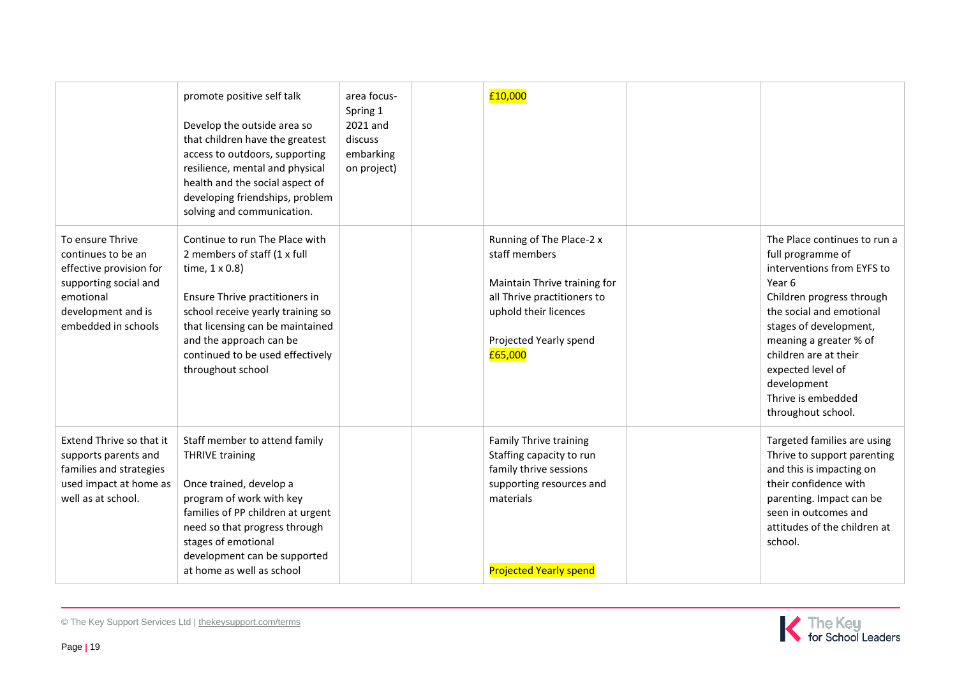|                                                                                                                                                      | promote positive self talk<br>Develop the outside area so<br>that children have the greatest<br>access to outdoors, supporting<br>resilience, mental and physical<br>health and the social aspect of<br>developing friendships, problem<br>solving and communication.                   | area focus-<br>Spring 1<br>2021 and<br>discuss<br>embarking<br>on project) | £10,000                                                                                                                                                                |                                                                                                                                                                                                                                                                                                                 |
|------------------------------------------------------------------------------------------------------------------------------------------------------|-----------------------------------------------------------------------------------------------------------------------------------------------------------------------------------------------------------------------------------------------------------------------------------------|----------------------------------------------------------------------------|------------------------------------------------------------------------------------------------------------------------------------------------------------------------|-----------------------------------------------------------------------------------------------------------------------------------------------------------------------------------------------------------------------------------------------------------------------------------------------------------------|
| To ensure Thrive<br>continues to be an<br>effective provision for<br>supporting social and<br>emotional<br>development and is<br>embedded in schools | Continue to run The Place with<br>2 members of staff (1 x full<br>time, $1 \times 0.8$ )<br>Ensure Thrive practitioners in<br>school receive yearly training so<br>that licensing can be maintained<br>and the approach can be<br>continued to be used effectively<br>throughout school |                                                                            | Running of The Place-2 x<br>staff members<br>Maintain Thrive training for<br>all Thrive practitioners to<br>uphold their licences<br>Projected Yearly spend<br>£65,000 | The Place continues to run a<br>full programme of<br>interventions from EYFS to<br>Year 6<br>Children progress through<br>the social and emotional<br>stages of development,<br>meaning a greater % of<br>children are at their<br>expected level of<br>development<br>Thrive is embedded<br>throughout school. |
| Extend Thrive so that it<br>supports parents and<br>families and strategies<br>used impact at home as<br>well as at school.                          | Staff member to attend family<br><b>THRIVE training</b><br>Once trained, develop a<br>program of work with key<br>families of PP children at urgent<br>need so that progress through<br>stages of emotional<br>development can be supported<br>at home as well as school                |                                                                            | <b>Family Thrive training</b><br>Staffing capacity to run<br>family thrive sessions<br>supporting resources and<br>materials<br><b>Projected Yearly spend</b>          | Targeted families are using<br>Thrive to support parenting<br>and this is impacting on<br>their confidence with<br>parenting. Impact can be<br>seen in outcomes and<br>attitudes of the children at<br>school.                                                                                                  |

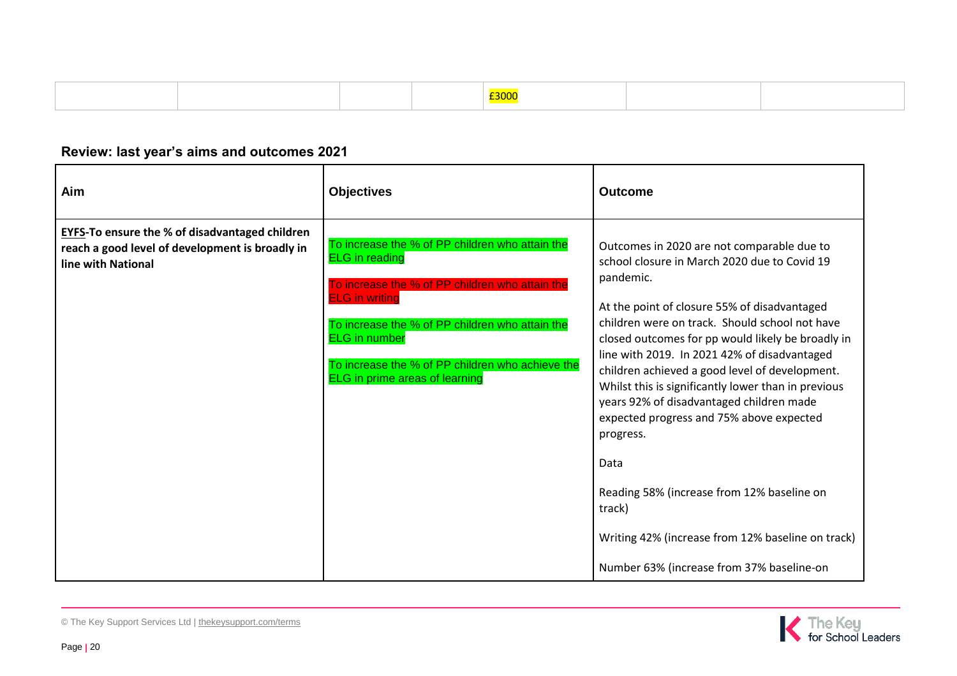|  |  | <b>Contract Contract Contract Contract Contract Contract Contract Contract Contract Contract Contract Contract Co</b>            |  |
|--|--|----------------------------------------------------------------------------------------------------------------------------------|--|
|  |  | £3000<br><u> The Communication of the Communication of the Communication of the Communication of the Communication of the Co</u> |  |

## **Review: last year's aims and outcomes 2021**

| Aim                                                                                                                            | <b>Objectives</b>                                                                                                                                                                                                                                                                                                            | <b>Outcome</b>                                                                                                                                                                                                                                                                                                                                                                                                                                                                                                                                                                                                                                                                                 |
|--------------------------------------------------------------------------------------------------------------------------------|------------------------------------------------------------------------------------------------------------------------------------------------------------------------------------------------------------------------------------------------------------------------------------------------------------------------------|------------------------------------------------------------------------------------------------------------------------------------------------------------------------------------------------------------------------------------------------------------------------------------------------------------------------------------------------------------------------------------------------------------------------------------------------------------------------------------------------------------------------------------------------------------------------------------------------------------------------------------------------------------------------------------------------|
| <b>EYFS-To ensure the % of disadvantaged children</b><br>reach a good level of development is broadly in<br>line with National | To increase the % of PP children who attain the<br><b>ELG</b> in reading<br>To increase the % of PP children who attain the<br><b>ELG</b> in writing<br>To increase the % of PP children who attain the<br><b>ELG</b> in number<br>To increase the % of PP children who achieve the<br><b>ELG</b> in prime areas of learning | Outcomes in 2020 are not comparable due to<br>school closure in March 2020 due to Covid 19<br>pandemic.<br>At the point of closure 55% of disadvantaged<br>children were on track. Should school not have<br>closed outcomes for pp would likely be broadly in<br>line with 2019. In 2021 42% of disadvantaged<br>children achieved a good level of development.<br>Whilst this is significantly lower than in previous<br>years 92% of disadvantaged children made<br>expected progress and 75% above expected<br>progress.<br>Data<br>Reading 58% (increase from 12% baseline on<br>track)<br>Writing 42% (increase from 12% baseline on track)<br>Number 63% (increase from 37% baseline-on |

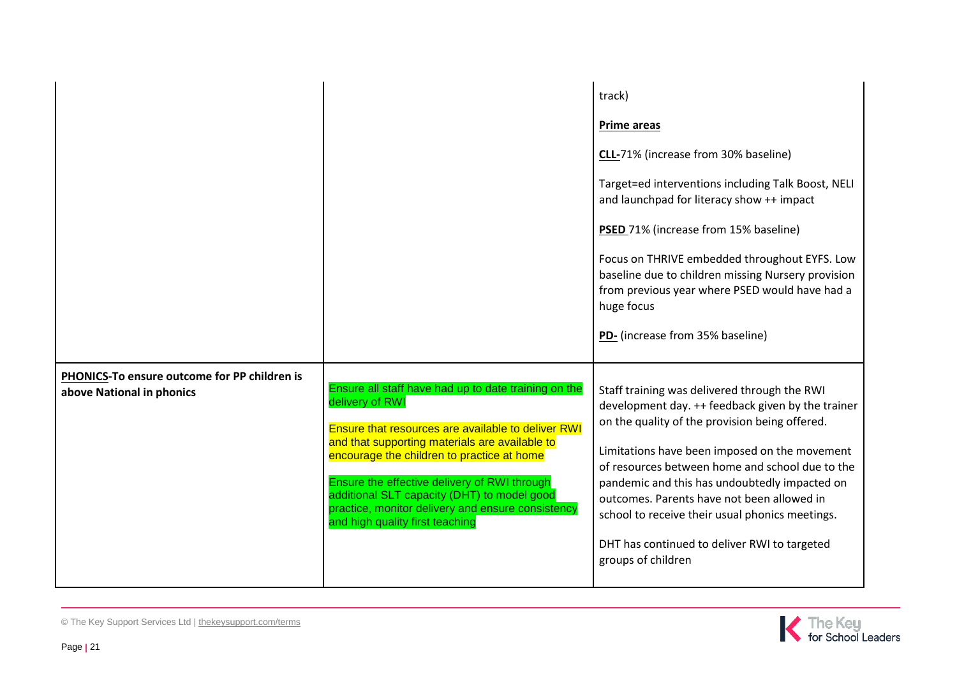|                                                                           |                                                                                                                                                                                                                                                                                                                                                                                                                             | track)<br><b>Prime areas</b><br>CLL-71% (increase from 30% baseline)<br>Target=ed interventions including Talk Boost, NELI<br>and launchpad for literacy show ++ impact<br>PSED 71% (increase from 15% baseline)<br>Focus on THRIVE embedded throughout EYFS. Low<br>baseline due to children missing Nursery provision<br>from previous year where PSED would have had a<br>huge focus<br>PD- (increase from 35% baseline)                                                     |
|---------------------------------------------------------------------------|-----------------------------------------------------------------------------------------------------------------------------------------------------------------------------------------------------------------------------------------------------------------------------------------------------------------------------------------------------------------------------------------------------------------------------|---------------------------------------------------------------------------------------------------------------------------------------------------------------------------------------------------------------------------------------------------------------------------------------------------------------------------------------------------------------------------------------------------------------------------------------------------------------------------------|
| PHONICS-To ensure outcome for PP children is<br>above National in phonics | Ensure all staff have had up to date training on the<br>delivery of RWI<br><b>Ensure that resources are available to deliver RWI</b><br>and that supporting materials are available to<br>encourage the children to practice at home<br>Ensure the effective delivery of RWI through<br>additional SLT capacity (DHT) to model good<br>practice, monitor delivery and ensure consistency<br>and high quality first teaching | Staff training was delivered through the RWI<br>development day. ++ feedback given by the trainer<br>on the quality of the provision being offered.<br>Limitations have been imposed on the movement<br>of resources between home and school due to the<br>pandemic and this has undoubtedly impacted on<br>outcomes. Parents have not been allowed in<br>school to receive their usual phonics meetings.<br>DHT has continued to deliver RWI to targeted<br>groups of children |

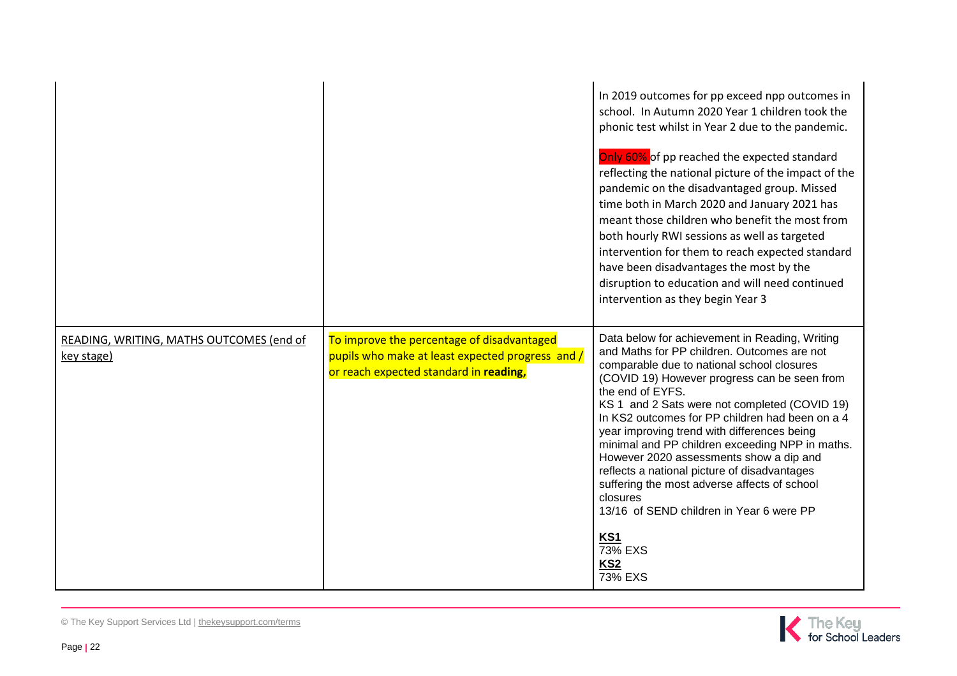|                                                        |                                                                                                                                          | In 2019 outcomes for pp exceed npp outcomes in<br>school. In Autumn 2020 Year 1 children took the<br>phonic test whilst in Year 2 due to the pandemic.<br>Only 60% of pp reached the expected standard<br>reflecting the national picture of the impact of the<br>pandemic on the disadvantaged group. Missed<br>time both in March 2020 and January 2021 has<br>meant those children who benefit the most from<br>both hourly RWI sessions as well as targeted<br>intervention for them to reach expected standard<br>have been disadvantages the most by the<br>disruption to education and will need continued<br>intervention as they begin Year 3                                        |
|--------------------------------------------------------|------------------------------------------------------------------------------------------------------------------------------------------|-----------------------------------------------------------------------------------------------------------------------------------------------------------------------------------------------------------------------------------------------------------------------------------------------------------------------------------------------------------------------------------------------------------------------------------------------------------------------------------------------------------------------------------------------------------------------------------------------------------------------------------------------------------------------------------------------|
| READING, WRITING, MATHS OUTCOMES (end of<br>key stage) | To improve the percentage of disadvantaged<br>pupils who make at least expected progress and /<br>or reach expected standard in reading, | Data below for achievement in Reading, Writing<br>and Maths for PP children. Outcomes are not<br>comparable due to national school closures<br>(COVID 19) However progress can be seen from<br>the end of EYFS.<br>KS 1 and 2 Sats were not completed (COVID 19)<br>In KS2 outcomes for PP children had been on a 4<br>year improving trend with differences being<br>minimal and PP children exceeding NPP in maths.<br>However 2020 assessments show a dip and<br>reflects a national picture of disadvantages<br>suffering the most adverse affects of school<br>closures<br>13/16 of SEND children in Year 6 were PP<br><b>KS1</b><br>73% EXS<br>KS <sub>2</sub><br>$\overline{73\%}$ EXS |

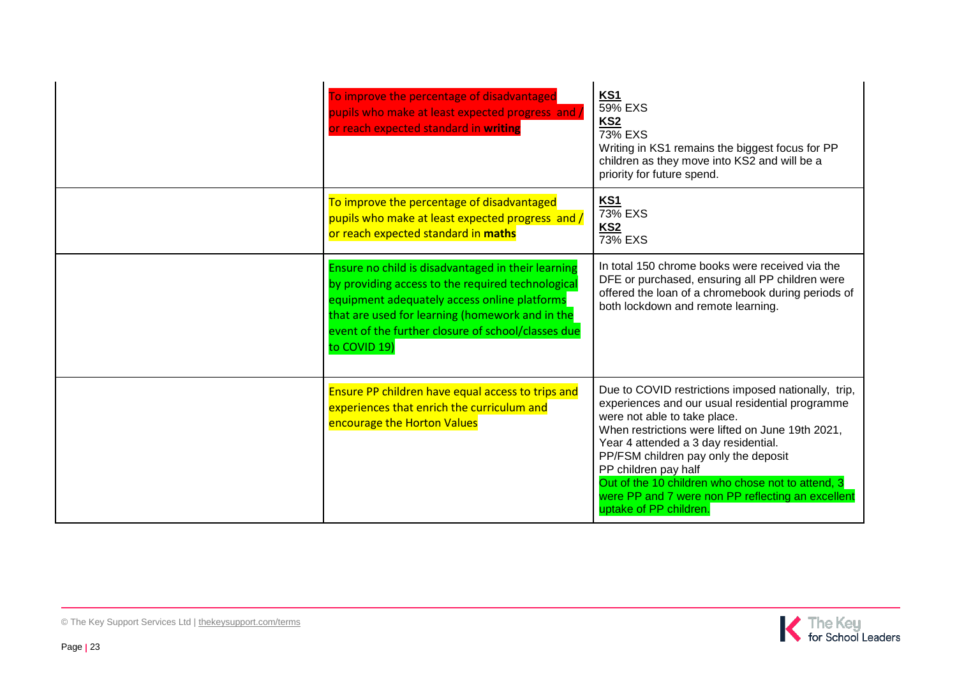| To improve the percentage of disadvantaged<br>pupils who make at least expected progress and /<br>or reach expected standard in writing                                                                                                                                          | KS1<br>59% EXS<br>KS <sub>2</sub><br>73% EXS<br>Writing in KS1 remains the biggest focus for PP<br>children as they move into KS2 and will be a<br>priority for future spend.                                                                                                                                                                                                                                                          |
|----------------------------------------------------------------------------------------------------------------------------------------------------------------------------------------------------------------------------------------------------------------------------------|----------------------------------------------------------------------------------------------------------------------------------------------------------------------------------------------------------------------------------------------------------------------------------------------------------------------------------------------------------------------------------------------------------------------------------------|
| To improve the percentage of disadvantaged<br>pupils who make at least expected progress and /<br>or reach expected standard in maths                                                                                                                                            | <b>KS1</b><br>$\overline{73\%}$ EXS<br>KS <sub>2</sub><br>$\overline{73\%}$ EXS                                                                                                                                                                                                                                                                                                                                                        |
| Ensure no child is disadvantaged in their learning<br>by providing access to the required technological<br>equipment adequately access online platforms<br>that are used for learning (homework and in the<br>event of the further closure of school/classes due<br>to COVID 19) | In total 150 chrome books were received via the<br>DFE or purchased, ensuring all PP children were<br>offered the loan of a chromebook during periods of<br>both lockdown and remote learning.                                                                                                                                                                                                                                         |
| Ensure PP children have equal access to trips and<br>experiences that enrich the curriculum and<br>encourage the Horton Values                                                                                                                                                   | Due to COVID restrictions imposed nationally, trip,<br>experiences and our usual residential programme<br>were not able to take place.<br>When restrictions were lifted on June 19th 2021,<br>Year 4 attended a 3 day residential.<br>PP/FSM children pay only the deposit<br>PP children pay half<br>Out of the 10 children who chose not to attend, 3<br>were PP and 7 were non PP reflecting an excellent<br>uptake of PP children. |

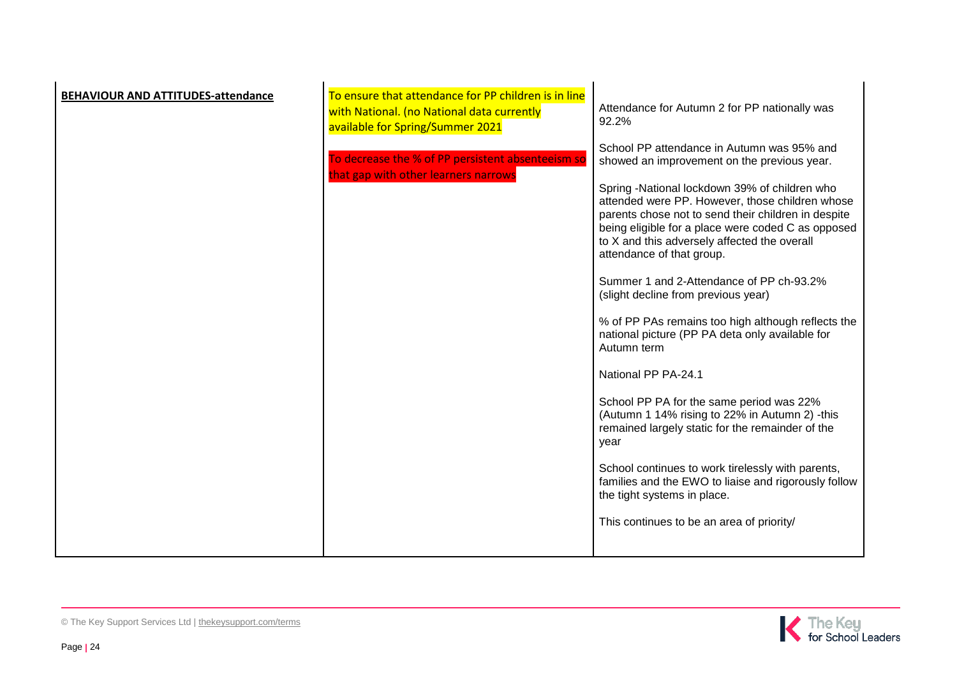| <b>BEHAVIOUR AND ATTITUDES-attendance</b> | To ensure that attendance for PP children is in line<br>with National. (no National data currently<br>available for Spring/Summer 2021 | Attendance for Autumn 2 for PP nationally was<br>92.2%                                                                                                                                                                                                                                                                                                                                                                                                                                                                                                                                                                                                                                                                                                                                                                                   |
|-------------------------------------------|----------------------------------------------------------------------------------------------------------------------------------------|------------------------------------------------------------------------------------------------------------------------------------------------------------------------------------------------------------------------------------------------------------------------------------------------------------------------------------------------------------------------------------------------------------------------------------------------------------------------------------------------------------------------------------------------------------------------------------------------------------------------------------------------------------------------------------------------------------------------------------------------------------------------------------------------------------------------------------------|
|                                           | To decrease the % of PP persistent absenteeism so<br>that gap with other learners narrows                                              | School PP attendance in Autumn was 95% and<br>showed an improvement on the previous year.<br>Spring -National lockdown 39% of children who<br>attended were PP. However, those children whose<br>parents chose not to send their children in despite<br>being eligible for a place were coded C as opposed<br>to X and this adversely affected the overall<br>attendance of that group.<br>Summer 1 and 2-Attendance of PP ch-93.2%<br>(slight decline from previous year)<br>% of PP PAs remains too high although reflects the<br>national picture (PP PA deta only available for<br>Autumn term<br>National PP PA-24.1<br>School PP PA for the same period was 22%<br>(Autumn 1 14% rising to 22% in Autumn 2) -this<br>remained largely static for the remainder of the<br>year<br>School continues to work tirelessly with parents, |
|                                           |                                                                                                                                        | families and the EWO to liaise and rigorously follow<br>the tight systems in place.<br>This continues to be an area of priority/                                                                                                                                                                                                                                                                                                                                                                                                                                                                                                                                                                                                                                                                                                         |
|                                           |                                                                                                                                        |                                                                                                                                                                                                                                                                                                                                                                                                                                                                                                                                                                                                                                                                                                                                                                                                                                          |

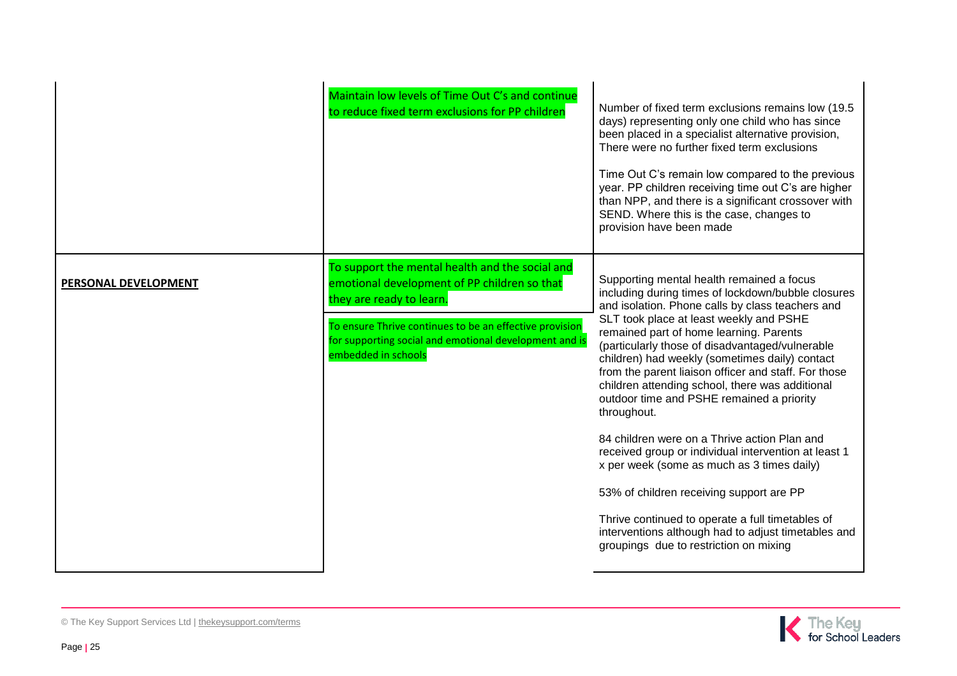|                      | Maintain low levels of Time Out C's and continue<br>to reduce fixed term exclusions for PP children                                                                                                                                                                     | Number of fixed term exclusions remains low (19.5)<br>days) representing only one child who has since<br>been placed in a specialist alternative provision,<br>There were no further fixed term exclusions<br>Time Out C's remain low compared to the previous<br>year. PP children receiving time out C's are higher<br>than NPP, and there is a significant crossover with<br>SEND. Where this is the case, changes to<br>provision have been made                                                                                                                                                                                                                                                                                                                                                                                                                         |
|----------------------|-------------------------------------------------------------------------------------------------------------------------------------------------------------------------------------------------------------------------------------------------------------------------|------------------------------------------------------------------------------------------------------------------------------------------------------------------------------------------------------------------------------------------------------------------------------------------------------------------------------------------------------------------------------------------------------------------------------------------------------------------------------------------------------------------------------------------------------------------------------------------------------------------------------------------------------------------------------------------------------------------------------------------------------------------------------------------------------------------------------------------------------------------------------|
| PERSONAL DEVELOPMENT | To support the mental health and the social and<br>emotional development of PP children so that<br>they are ready to learn.<br>To ensure Thrive continues to be an effective provision<br>for supporting social and emotional development and is<br>embedded in schools | Supporting mental health remained a focus<br>including during times of lockdown/bubble closures<br>and isolation. Phone calls by class teachers and<br>SLT took place at least weekly and PSHE<br>remained part of home learning. Parents<br>(particularly those of disadvantaged/vulnerable<br>children) had weekly (sometimes daily) contact<br>from the parent liaison officer and staff. For those<br>children attending school, there was additional<br>outdoor time and PSHE remained a priority<br>throughout.<br>84 children were on a Thrive action Plan and<br>received group or individual intervention at least 1<br>x per week (some as much as 3 times daily)<br>53% of children receiving support are PP<br>Thrive continued to operate a full timetables of<br>interventions although had to adjust timetables and<br>groupings due to restriction on mixing |